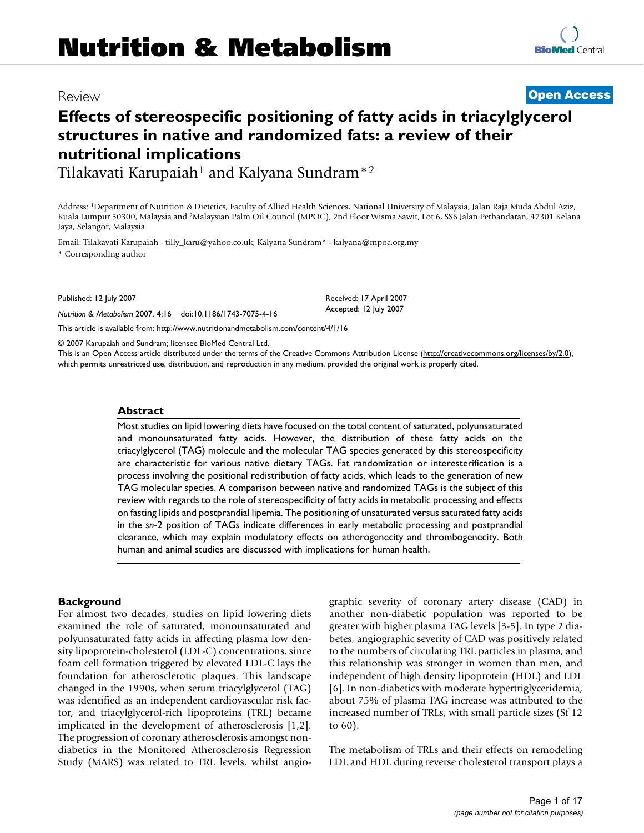# Review **[Open Access](http://www.biomedcentral.com/info/about/charter/)**

# **Effects of stereospecific positioning of fatty acids in triacylglycerol structures in native and randomized fats: a review of their nutritional implications**

Tilakavati Karupaiah<sup>1</sup> and Kalyana Sundram<sup>\*2</sup>

Address: 1Department of Nutrition & Dietetics, Faculty of Allied Health Sciences, National University of Malaysia, Jalan Raja Muda Abdul Aziz, Kuala Lumpur 50300, Malaysia and 2Malaysian Palm Oil Council (MPOC), 2nd Floor Wisma Sawit, Lot 6, SS6 Jalan Perbandaran, 47301 Kelana Jaya, Selangor, Malaysia

Email: Tilakavati Karupaiah - tilly\_karu@yahoo.co.uk; Kalyana Sundram\* - kalyana@mpoc.org.my \* Corresponding author

Published: 12 July 2007

*Nutrition & Metabolism* 2007, **4**:16 doi:10.1186/1743-7075-4-16

[This article is available from: http://www.nutritionandmetabolism.com/content/4/1/16](http://www.nutritionandmetabolism.com/content/4/1/16)

© 2007 Karupaiah and Sundram; licensee BioMed Central Ltd.

This is an Open Access article distributed under the terms of the Creative Commons Attribution License [\(http://creativecommons.org/licenses/by/2.0\)](http://creativecommons.org/licenses/by/2.0), which permits unrestricted use, distribution, and reproduction in any medium, provided the original work is properly cited.

#### **Abstract**

Most studies on lipid lowering diets have focused on the total content of saturated, polyunsaturated and monounsaturated fatty acids. However, the distribution of these fatty acids on the triacylglycerol (TAG) molecule and the molecular TAG species generated by this stereospecificity are characteristic for various native dietary TAGs. Fat randomization or interesterification is a process involving the positional redistribution of fatty acids, which leads to the generation of new TAG molecular species. A comparison between native and randomized TAGs is the subject of this review with regards to the role of stereospecificity of fatty acids in metabolic processing and effects on fasting lipids and postprandial lipemia. The positioning of unsaturated versus saturated fatty acids in the *sn*-2 position of TAGs indicate differences in early metabolic processing and postprandial clearance, which may explain modulatory effects on atherogenecity and thrombogenecity. Both human and animal studies are discussed with implications for human health.

#### **Background**

For almost two decades, studies on lipid lowering diets examined the role of saturated, monounsaturated and polyunsaturated fatty acids in affecting plasma low density lipoprotein-cholesterol (LDL-C) concentrations, since foam cell formation triggered by elevated LDL-C lays the foundation for atherosclerotic plaques. This landscape changed in the 1990s, when serum triacylglycerol (TAG) was identified as an independent cardiovascular risk factor, and triacylglycerol-rich lipoproteins (TRL) became implicated in the development of atherosclerosis [1,2]. The progression of coronary atherosclerosis amongst nondiabetics in the Monitored Atherosclerosis Regression Study (MARS) was related to TRL levels, whilst angiographic severity of coronary artery disease (CAD) in another non-diabetic population was reported to be greater with higher plasma TAG levels [3-5]. In type 2 diabetes, angiographic severity of CAD was positively related to the numbers of circulating TRL particles in plasma, and this relationship was stronger in women than men, and independent of high density lipoprotein (HDL) and LDL [6]. In non-diabetics with moderate hypertriglyceridemia, about 75% of plasma TAG increase was attributed to the increased number of TRLs, with small particle sizes (Sf 12 to 60).

The metabolism of TRLs and their effects on remodeling LDL and HDL during reverse cholesterol transport plays a

Received: 17 April 2007 Accepted: 12 July 2007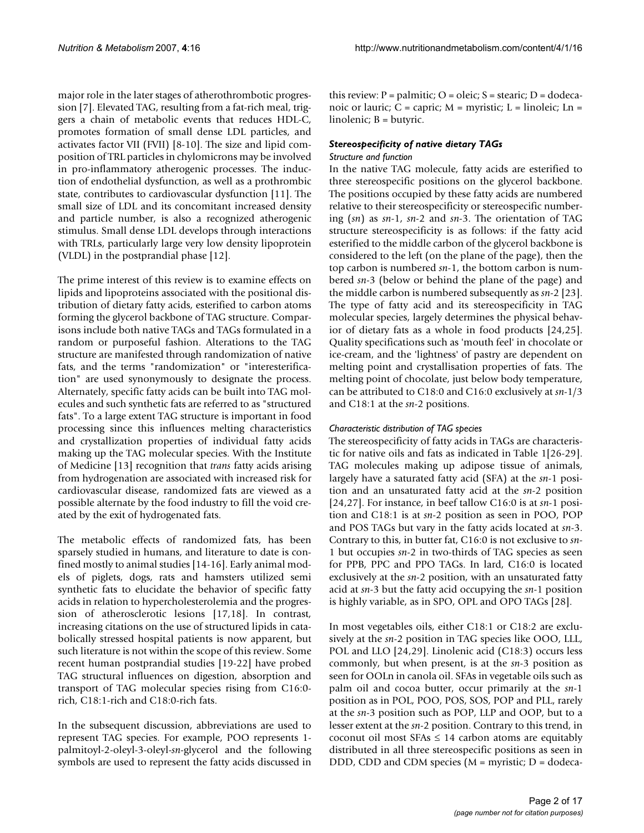major role in the later stages of atherothrombotic progression [7]. Elevated TAG, resulting from a fat-rich meal, triggers a chain of metabolic events that reduces HDL-C, promotes formation of small dense LDL particles, and activates factor VII (FVII) [8-10]. The size and lipid composition of TRL particles in chylomicrons may be involved in pro-inflammatory atherogenic processes. The induction of endothelial dysfunction, as well as a prothrombic state, contributes to cardiovascular dysfunction [11]. The small size of LDL and its concomitant increased density and particle number, is also a recognized atherogenic stimulus. Small dense LDL develops through interactions with TRLs, particularly large very low density lipoprotein (VLDL) in the postprandial phase [12].

The prime interest of this review is to examine effects on lipids and lipoproteins associated with the positional distribution of dietary fatty acids, esterified to carbon atoms forming the glycerol backbone of TAG structure. Comparisons include both native TAGs and TAGs formulated in a random or purposeful fashion. Alterations to the TAG structure are manifested through randomization of native fats, and the terms "randomization" or "interesterification" are used synonymously to designate the process. Alternately, specific fatty acids can be built into TAG molecules and such synthetic fats are referred to as "structured fats". To a large extent TAG structure is important in food processing since this influences melting characteristics and crystallization properties of individual fatty acids making up the TAG molecular species. With the Institute of Medicine [13] recognition that *trans* fatty acids arising from hydrogenation are associated with increased risk for cardiovascular disease, randomized fats are viewed as a possible alternate by the food industry to fill the void created by the exit of hydrogenated fats.

The metabolic effects of randomized fats, has been sparsely studied in humans, and literature to date is confined mostly to animal studies [14-16]. Early animal models of piglets, dogs, rats and hamsters utilized semi synthetic fats to elucidate the behavior of specific fatty acids in relation to hypercholesterolemia and the progression of atherosclerotic lesions [17,18]. In contrast, increasing citations on the use of structured lipids in catabolically stressed hospital patients is now apparent, but such literature is not within the scope of this review. Some recent human postprandial studies [19-22] have probed TAG structural influences on digestion, absorption and transport of TAG molecular species rising from C16:0 rich, C18:1-rich and C18:0-rich fats.

In the subsequent discussion, abbreviations are used to represent TAG species. For example, POO represents 1 palmitoyl-2-oleyl-3-oleyl-*sn*-glycerol and the following symbols are used to represent the fatty acids discussed in

this review:  $P =$  palmitic;  $O =$  oleic;  $S =$  stearic;  $D =$  dodecanoic or lauric;  $C =$  capric;  $M =$  myristic;  $L =$  linoleic;  $Ln =$ linolenic; B = butyric.

# *Stereospecificity of native dietary TAGs*

#### *Structure and function*

In the native TAG molecule, fatty acids are esterified to three stereospecific positions on the glycerol backbone. The positions occupied by these fatty acids are numbered relative to their stereospecificity or stereospecific numbering (*sn*) as *sn*-1, *sn*-2 and *sn*-3. The orientation of TAG structure stereospecificity is as follows: if the fatty acid esterified to the middle carbon of the glycerol backbone is considered to the left (on the plane of the page), then the top carbon is numbered *sn*-1, the bottom carbon is numbered *sn*-3 (below or behind the plane of the page) and the middle carbon is numbered subsequently as *sn*-2 [23]. The type of fatty acid and its stereospecificity in TAG molecular species, largely determines the physical behavior of dietary fats as a whole in food products [24,25]. Quality specifications such as 'mouth feel' in chocolate or ice-cream, and the 'lightness' of pastry are dependent on melting point and crystallisation properties of fats. The melting point of chocolate, just below body temperature, can be attributed to C18:0 and C16:0 exclusively at *sn*-1/3 and C18:1 at the *sn*-2 positions.

### *Characteristic distribution of TAG species*

The stereospecificity of fatty acids in TAGs are characteristic for native oils and fats as indicated in Table 1[26-29]. TAG molecules making up adipose tissue of animals, largely have a saturated fatty acid (SFA) at the *sn*-1 position and an unsaturated fatty acid at the *sn*-2 position [24,27]. For instance, in beef tallow C16:0 is at *sn*-1 position and C18:1 is at *sn*-2 position as seen in POO, POP and POS TAGs but vary in the fatty acids located at *sn*-3. Contrary to this, in butter fat, C16:0 is not exclusive to *sn*-1 but occupies *sn*-2 in two-thirds of TAG species as seen for PPB, PPC and PPO TAGs. In lard, C16:0 is located exclusively at the *sn*-2 position, with an unsaturated fatty acid at *sn*-3 but the fatty acid occupying the *sn*-1 position is highly variable, as in SPO, OPL and OPO TAGs [28].

In most vegetables oils, either C18:1 or C18:2 are exclusively at the *sn*-2 position in TAG species like OOO, LLL, POL and LLO [24,29]. Linolenic acid (C18:3) occurs less commonly, but when present, is at the *sn*-3 position as seen for OOLn in canola oil. SFAs in vegetable oils such as palm oil and cocoa butter, occur primarily at the *sn*-1 position as in POL, POO, POS, SOS, POP and PLL, rarely at the *sn*-3 position such as POP, LLP and OOP, but to a lesser extent at the *sn*-2 position. Contrary to this trend, in coconut oil most  $SFAs \leq 14$  carbon atoms are equitably distributed in all three stereospecific positions as seen in DDD, CDD and CDM species  $(M =$  myristic;  $D =$  dodeca-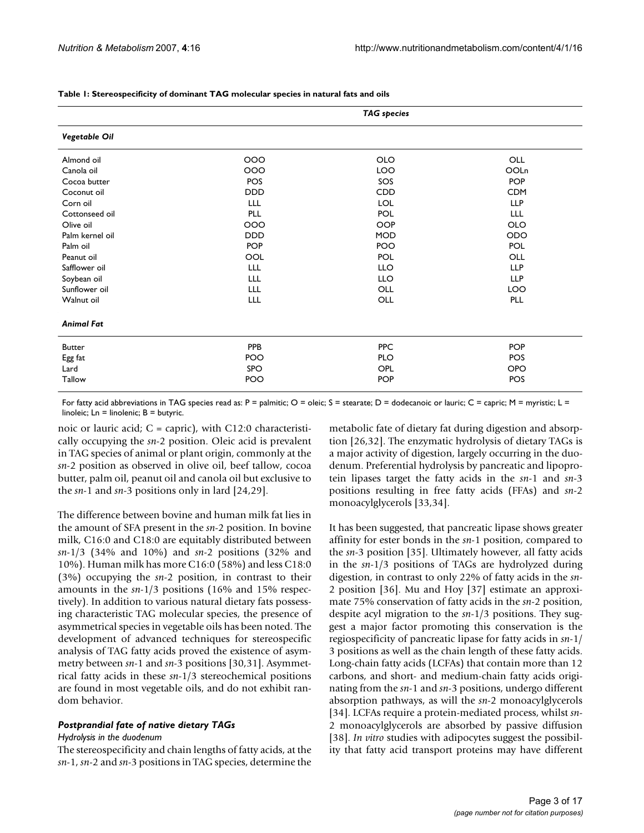|                   |            | <b>TAG</b> species |            |
|-------------------|------------|--------------------|------------|
| Vegetable Oil     |            |                    |            |
| Almond oil        | 000        | <b>OLO</b>         | OLL        |
| Canola oil        | 000        | LOO                | OOLn       |
| Cocoa butter      | POS        | SOS                | <b>POP</b> |
| Coconut oil       | <b>DDD</b> | CDD                | <b>CDM</b> |
| Corn oil          | LLL        | <b>LOL</b>         | <b>LLP</b> |
| Cottonseed oil    | <b>PLL</b> | POL                | LLL        |
| Olive oil         | 000        | <b>OOP</b>         | <b>OLO</b> |
| Palm kernel oil   | <b>DDD</b> | <b>MOD</b>         | ODO        |
| Palm oil          | <b>POP</b> | POO                | POL        |
| Peanut oil        | OOL        | POL                | OLL        |
| Safflower oil     | LLL        | <b>LLO</b>         | <b>LLP</b> |
| Soybean oil       | <b>LLL</b> | <b>LLO</b>         | <b>LLP</b> |
| Sunflower oil     | LLL        | OLL                | LOO        |
| Walnut oil        | LLL        | OLL                | PLL        |
| <b>Animal Fat</b> |            |                    |            |
| <b>Butter</b>     | <b>PPB</b> | <b>PPC</b>         | <b>POP</b> |
| Egg fat           | POO        | <b>PLO</b>         | POS        |
| Lard              | SPO        | <b>OPL</b>         | <b>OPO</b> |
| Tallow            | POO        | <b>POP</b>         | POS        |

#### **Table 1: Stereospecificity of dominant TAG molecular species in natural fats and oils**

For fatty acid abbreviations in TAG species read as: P = palmitic; O = oleic; S = stearate; D = dodecanoic or lauric; C = capric; M = myristic; L = linoleic; Ln = linolenic; B = butyric.

noic or lauric acid;  $C = \text{capric}$ ), with C12:0 characteristically occupying the *sn*-2 position. Oleic acid is prevalent in TAG species of animal or plant origin, commonly at the *sn*-2 position as observed in olive oil, beef tallow, cocoa butter, palm oil, peanut oil and canola oil but exclusive to the *sn*-1 and *sn*-3 positions only in lard [24,29].

The difference between bovine and human milk fat lies in the amount of SFA present in the *sn*-2 position. In bovine milk, C16:0 and C18:0 are equitably distributed between *sn*-1/3 (34% and 10%) and *sn*-2 positions (32% and 10%). Human milk has more C16:0 (58%) and less C18:0 (3%) occupying the *sn*-2 position, in contrast to their amounts in the *sn*-1/3 positions (16% and 15% respectively). In addition to various natural dietary fats possessing characteristic TAG molecular species, the presence of asymmetrical species in vegetable oils has been noted. The development of advanced techniques for stereospecific analysis of TAG fatty acids proved the existence of asymmetry between *sn*-1 and *sn*-3 positions [30,31]. Asymmetrical fatty acids in these *sn*-1/3 stereochemical positions are found in most vegetable oils, and do not exhibit random behavior.

#### *Postprandial fate of native dietary TAGs*

#### *Hydrolysis in the duodenum*

The stereospecificity and chain lengths of fatty acids, at the *sn*-1, *sn*-2 and *sn*-3 positions in TAG species, determine the metabolic fate of dietary fat during digestion and absorption [26,32]. The enzymatic hydrolysis of dietary TAGs is a major activity of digestion, largely occurring in the duodenum. Preferential hydrolysis by pancreatic and lipoprotein lipases target the fatty acids in the *sn*-1 and *sn*-3 positions resulting in free fatty acids (FFAs) and *sn*-2 monoacylglycerols [33,34].

It has been suggested, that pancreatic lipase shows greater affinity for ester bonds in the *sn*-1 position, compared to the *sn*-3 position [35]. Ultimately however, all fatty acids in the *sn*-1/3 positions of TAGs are hydrolyzed during digestion, in contrast to only 22% of fatty acids in the *sn*-2 position [36]. Mu and Hoy [37] estimate an approximate 75% conservation of fatty acids in the *sn*-2 position, despite acyl migration to the *sn*-1/3 positions. They suggest a major factor promoting this conservation is the regiospecificity of pancreatic lipase for fatty acids in *sn*-1/ 3 positions as well as the chain length of these fatty acids. Long-chain fatty acids (LCFAs) that contain more than 12 carbons, and short- and medium-chain fatty acids originating from the *sn*-1 and *sn*-3 positions, undergo different absorption pathways, as will the *sn*-2 monoacylglycerols [34]. LCFAs require a protein-mediated process, whilst *sn*-2 monoacylglycerols are absorbed by passive diffusion [38]. *In vitro* studies with adipocytes suggest the possibility that fatty acid transport proteins may have different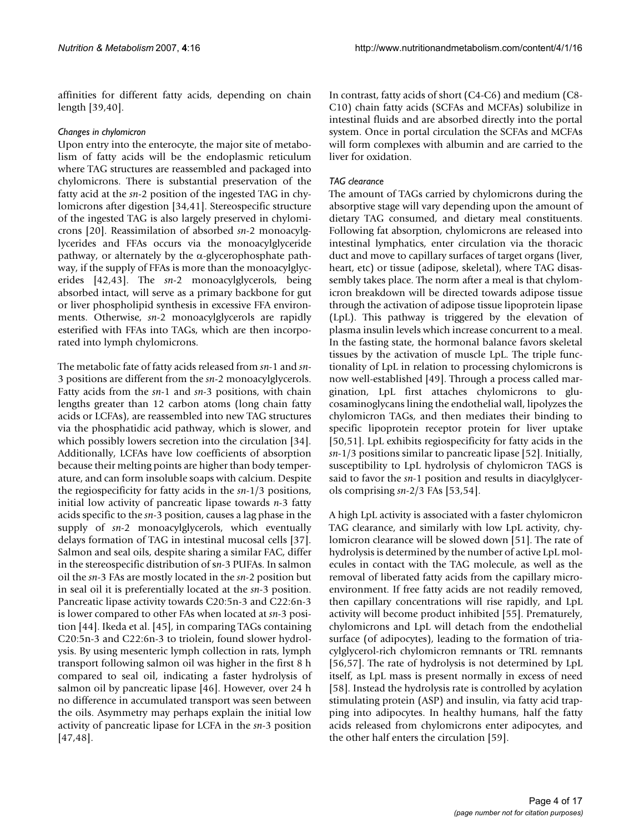affinities for different fatty acids, depending on chain length [39,40].

### *Changes in chylomicron*

Upon entry into the enterocyte, the major site of metabolism of fatty acids will be the endoplasmic reticulum where TAG structures are reassembled and packaged into chylomicrons. There is substantial preservation of the fatty acid at the *sn*-2 position of the ingested TAG in chylomicrons after digestion [34,41]. Stereospecific structure of the ingested TAG is also largely preserved in chylomicrons [20]. Reassimilation of absorbed *sn*-2 monoacylglycerides and FFAs occurs via the monoacylglyceride pathway, or alternately by the  $\alpha$ -glycerophosphate pathway, if the supply of FFAs is more than the monoacylglycerides [42,43]. The *sn*-2 monoacylglycerols, being absorbed intact, will serve as a primary backbone for gut or liver phospholipid synthesis in excessive FFA environments. Otherwise, *sn*-2 monoacylglycerols are rapidly esterified with FFAs into TAGs, which are then incorporated into lymph chylomicrons.

The metabolic fate of fatty acids released from *sn*-1 and *sn*-3 positions are different from the *sn*-2 monoacylglycerols. Fatty acids from the *sn*-1 and *sn*-3 positions, with chain lengths greater than 12 carbon atoms (long chain fatty acids or LCFAs), are reassembled into new TAG structures via the phosphatidic acid pathway, which is slower, and which possibly lowers secretion into the circulation [34]. Additionally, LCFAs have low coefficients of absorption because their melting points are higher than body temperature, and can form insoluble soaps with calcium. Despite the regiospecificity for fatty acids in the *sn*-1/3 positions, initial low activity of pancreatic lipase towards *n*-3 fatty acids specific to the *sn*-3 position, causes a lag phase in the supply of *sn*-2 monoacylglycerols, which eventually delays formation of TAG in intestinal mucosal cells [37]. Salmon and seal oils, despite sharing a similar FAC, differ in the stereospecific distribution of s*n*-3 PUFAs. In salmon oil the *sn*-3 FAs are mostly located in the *sn*-2 position but in seal oil it is preferentially located at the *sn*-3 position. Pancreatic lipase activity towards C20:5n-3 and C22:6n-3 is lower compared to other FAs when located at *sn*-3 position [44]. Ikeda et al. [45], in comparing TAGs containing C20:5n-3 and C22:6n-3 to triolein, found slower hydrolysis. By using mesenteric lymph collection in rats, lymph transport following salmon oil was higher in the first 8 h compared to seal oil, indicating a faster hydrolysis of salmon oil by pancreatic lipase [46]. However, over 24 h no difference in accumulated transport was seen between the oils. Asymmetry may perhaps explain the initial low activity of pancreatic lipase for LCFA in the *sn*-3 position [47,48].

In contrast, fatty acids of short (C4-C6) and medium (C8- C10) chain fatty acids (SCFAs and MCFAs) solubilize in intestinal fluids and are absorbed directly into the portal system. Once in portal circulation the SCFAs and MCFAs will form complexes with albumin and are carried to the liver for oxidation.

# *TAG clearance*

The amount of TAGs carried by chylomicrons during the absorptive stage will vary depending upon the amount of dietary TAG consumed, and dietary meal constituents. Following fat absorption, chylomicrons are released into intestinal lymphatics, enter circulation via the thoracic duct and move to capillary surfaces of target organs (liver, heart, etc) or tissue (adipose, skeletal), where TAG disassembly takes place. The norm after a meal is that chylomicron breakdown will be directed towards adipose tissue through the activation of adipose tissue lipoprotein lipase (LpL). This pathway is triggered by the elevation of plasma insulin levels which increase concurrent to a meal. In the fasting state, the hormonal balance favors skeletal tissues by the activation of muscle LpL. The triple functionality of LpL in relation to processing chylomicrons is now well-established [49]. Through a process called margination, LpL first attaches chylomicrons to glucosaminoglycans lining the endothelial wall, lipolyzes the chylomicron TAGs, and then mediates their binding to specific lipoprotein receptor protein for liver uptake [50,51]. LpL exhibits regiospecificity for fatty acids in the *sn*-1/3 positions similar to pancreatic lipase [52]. Initially, susceptibility to LpL hydrolysis of chylomicron TAGS is said to favor the *sn*-1 position and results in diacylglycerols comprising *sn*-2/3 FAs [53,54].

A high LpL activity is associated with a faster chylomicron TAG clearance, and similarly with low LpL activity, chylomicron clearance will be slowed down [51]. The rate of hydrolysis is determined by the number of active LpL molecules in contact with the TAG molecule, as well as the removal of liberated fatty acids from the capillary microenvironment. If free fatty acids are not readily removed, then capillary concentrations will rise rapidly, and LpL activity will become product inhibited [55]. Prematurely, chylomicrons and LpL will detach from the endothelial surface (of adipocytes), leading to the formation of triacylglycerol-rich chylomicron remnants or TRL remnants [56,57]. The rate of hydrolysis is not determined by LpL itself, as LpL mass is present normally in excess of need [58]. Instead the hydrolysis rate is controlled by acylation stimulating protein (ASP) and insulin, via fatty acid trapping into adipocytes. In healthy humans, half the fatty acids released from chylomicrons enter adipocytes, and the other half enters the circulation [59].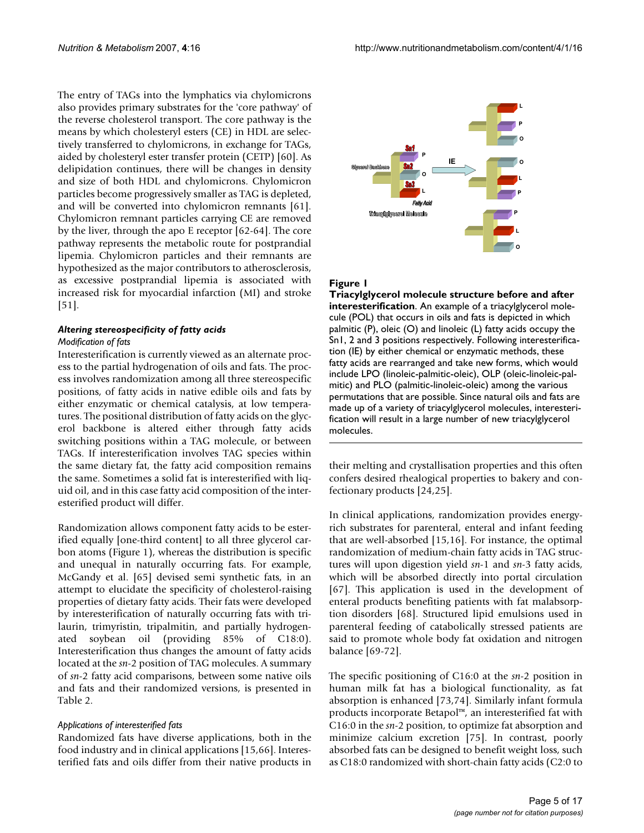The entry of TAGs into the lymphatics via chylomicrons also provides primary substrates for the 'core pathway' of the reverse cholesterol transport. The core pathway is the means by which cholesteryl esters (CE) in HDL are selectively transferred to chylomicrons, in exchange for TAGs, aided by cholesteryl ester transfer protein (CETP) [60]. As delipidation continues, there will be changes in density and size of both HDL and chylomicrons. Chylomicron particles become progressively smaller as TAG is depleted, and will be converted into chylomicron remnants [61]. Chylomicron remnant particles carrying CE are removed by the liver, through the apo E receptor [62-64]. The core pathway represents the metabolic route for postprandial lipemia. Chylomicron particles and their remnants are hypothesized as the major contributors to atherosclerosis, as excessive postprandial lipemia is associated with increased risk for myocardial infarction (MI) and stroke [51].

#### *Altering stereospecificity of fatty acids Modification of fats*

Interesterification is currently viewed as an alternate process to the partial hydrogenation of oils and fats. The process involves randomization among all three stereospecific positions, of fatty acids in native edible oils and fats by either enzymatic or chemical catalysis, at low temperatures. The positional distribution of fatty acids on the glycerol backbone is altered either through fatty acids switching positions within a TAG molecule, or between TAGs. If interesterification involves TAG species within the same dietary fat, the fatty acid composition remains the same. Sometimes a solid fat is interesterified with liquid oil, and in this case fatty acid composition of the interesterified product will differ.

Randomization allows component fatty acids to be esterified equally [one-third content] to all three glycerol carbon atoms (Figure 1), whereas the distribution is specific and unequal in naturally occurring fats. For example, McGandy et al. [65] devised semi synthetic fats, in an attempt to elucidate the specificity of cholesterol-raising properties of dietary fatty acids. Their fats were developed by interesterification of naturally occurring fats with trilaurin, trimyristin, tripalmitin, and partially hydrogenated soybean oil (providing 85% of C18:0). Interesterification thus changes the amount of fatty acids located at the *sn*-2 position of TAG molecules. A summary of *sn*-2 fatty acid comparisons, between some native oils and fats and their randomized versions, is presented in Table 2.

#### *Applications of interesterified fats*

Randomized fats have diverse applications, both in the food industry and in clinical applications [15,66]. Interesterified fats and oils differ from their native products in



### Figure 1

**Triacylglycerol molecule structure before and after interesterification**. An example of a triacylglycerol molecule (POL) that occurs in oils and fats is depicted in which palmitic (P), oleic (O) and linoleic (L) fatty acids occupy the Sn1, 2 and 3 positions respectively. Following interesterification (IE) by either chemical or enzymatic methods, these fatty acids are rearranged and take new forms, which would include LPO (linoleic-palmitic-oleic), OLP (oleic-linoleic-palmitic) and PLO (palmitic-linoleic-oleic) among the various permutations that are possible. Since natural oils and fats are made up of a variety of triacylglycerol molecules, interesterification will result in a large number of new triacylglycerol molecules.

their melting and crystallisation properties and this often confers desired rhealogical properties to bakery and confectionary products [24,25].

In clinical applications, randomization provides energyrich substrates for parenteral, enteral and infant feeding that are well-absorbed [15,16]. For instance, the optimal randomization of medium-chain fatty acids in TAG structures will upon digestion yield *sn*-1 and *sn*-3 fatty acids, which will be absorbed directly into portal circulation [67]. This application is used in the development of enteral products benefiting patients with fat malabsorption disorders [68]. Structured lipid emulsions used in parenteral feeding of catabolically stressed patients are said to promote whole body fat oxidation and nitrogen balance [69-72].

The specific positioning of C16:0 at the *sn*-2 position in human milk fat has a biological functionality, as fat absorption is enhanced [73,74]. Similarly infant formula products incorporate Betapol™, an interesterified fat with C16:0 in the *sn*-2 position, to optimize fat absorption and minimize calcium excretion [75]. In contrast, poorly absorbed fats can be designed to benefit weight loss, such as C18:0 randomized with short-chain fatty acids (C2:0 to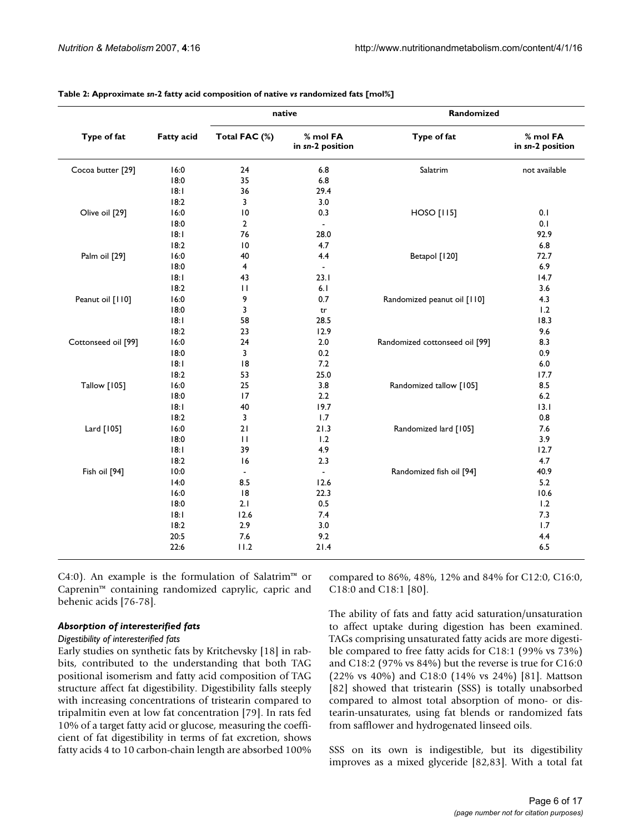|                     |                   | native         |                              | Randomized                     |                              |  |
|---------------------|-------------------|----------------|------------------------------|--------------------------------|------------------------------|--|
| Type of fat         | <b>Fatty acid</b> | Total FAC (%)  | % mol FA<br>in sn-2 position | Type of fat                    | % mol FA<br>in sn-2 position |  |
| Cocoa butter [29]   | 16:0              | 24             | 6.8                          | Salatrim                       | not available                |  |
|                     | 18:0              | 35             | 6.8                          |                                |                              |  |
|                     | 18:1              | 36             | 29.4                         |                                |                              |  |
|                     | 18:2              | 3              | 3.0                          |                                |                              |  |
| Olive oil [29]      | 16:0              | 10             | 0.3                          | <b>HOSO</b> [115]              | 0.1                          |  |
|                     | 18:0              | $\overline{2}$ | $\sim$                       |                                | 0.1                          |  |
|                     | 18:1              | 76             | 28.0                         |                                | 92.9                         |  |
|                     | 18:2              | 10             | 4.7                          |                                | 6.8                          |  |
| Palm oil [29]       | 16:0              | 40             | 4.4                          | Betapol [120]                  | 72.7                         |  |
|                     | 18:0              | 4              | $\Box$                       |                                | 6.9                          |  |
|                     | 18:1              | 43             | 23.1                         |                                | 14.7                         |  |
|                     | 18:2              | $\mathbf{H}$   | 6.1                          |                                | 3.6                          |  |
| Peanut oil [110]    | 16:0              | 9              | 0.7                          | Randomized peanut oil [110]    | 4.3                          |  |
|                     | 18:0              | 3              | tr                           |                                | 1.2                          |  |
|                     | 18:1              | 58             | 28.5                         |                                | 18.3                         |  |
|                     | 18:2              | 23             | 12.9                         |                                | 9.6                          |  |
| Cottonseed oil [99] | 16:0              | 24             | 2.0                          | Randomized cottonseed oil [99] | 8.3                          |  |
|                     | 18:0              | 3              | 0.2                          |                                | 0.9                          |  |
|                     | 18:1              | 18             | 7.2                          |                                | 6.0                          |  |
|                     | 18:2              | 53             | 25.0                         |                                | 17.7                         |  |
| <b>Tallow</b> [105] | 16:0              | 25             | 3.8                          | Randomized tallow [105]        | 8.5                          |  |
|                     | 18:0              | 17             | 2.2                          |                                | 6.2                          |  |
|                     | 18:1              | 40             | 19.7                         |                                | 13.1                         |  |
|                     | 18:2              | 3              | 1.7                          |                                | 0.8                          |  |
| Lard [105]          | 16:0              | 21             | 21.3                         | Randomized lard [105]          | 7.6                          |  |
|                     | 18:0              | $\mathbf{H}$   | 1.2                          |                                | 3.9                          |  |
|                     | 18:1              | 39             | 4.9                          |                                | 12.7                         |  |
|                     | 18:2              | 16             | 2.3                          |                                | 4.7                          |  |
| Fish oil [94]       | 10:0              |                | $\blacksquare$               | Randomized fish oil [94]       | 40.9                         |  |
|                     | 14:0              | 8.5            | 12.6                         |                                | 5.2                          |  |
|                     | 16:0              | 8              | 22.3                         |                                | 10.6                         |  |
|                     | 18:0              | 2.1            | 0.5                          |                                | 1.2                          |  |
|                     | 18:1              | 12.6           | 7.4                          |                                | 7.3                          |  |
|                     | 18:2              | 2.9            | 3.0                          |                                | 1.7                          |  |
|                     | 20:5              | 7.6            | 9.2                          |                                | 4.4                          |  |
|                     | 22:6              | 11.2           | 21.4                         |                                | 6.5                          |  |

**Table 2: Approximate** *sn***-2 fatty acid composition of native** *vs* **randomized fats [mol%]**

C4:0). An example is the formulation of Salatrim<sup>™</sup> or Caprenin™ containing randomized caprylic, capric and behenic acids [76-78].

### *Absorption of interesterified fats*

#### *Digestibility of interesterified fats*

Early studies on synthetic fats by Kritchevsky [18] in rabbits, contributed to the understanding that both TAG positional isomerism and fatty acid composition of TAG structure affect fat digestibility. Digestibility falls steeply with increasing concentrations of tristearin compared to tripalmitin even at low fat concentration [79]. In rats fed 10% of a target fatty acid or glucose, measuring the coefficient of fat digestibility in terms of fat excretion, shows fatty acids 4 to 10 carbon-chain length are absorbed 100%

compared to 86%, 48%, 12% and 84% for C12:0, C16:0, C18:0 and C18:1 [80].

The ability of fats and fatty acid saturation/unsaturation to affect uptake during digestion has been examined. TAGs comprising unsaturated fatty acids are more digestible compared to free fatty acids for C18:1 (99% vs 73%) and C18:2 (97% vs 84%) but the reverse is true for C16:0 (22% vs 40%) and C18:0 (14% vs 24%) [81]. Mattson [82] showed that tristearin (SSS) is totally unabsorbed compared to almost total absorption of mono- or distearin-unsaturates, using fat blends or randomized fats from safflower and hydrogenated linseed oils.

SSS on its own is indigestible, but its digestibility improves as a mixed glyceride [82,83]. With a total fat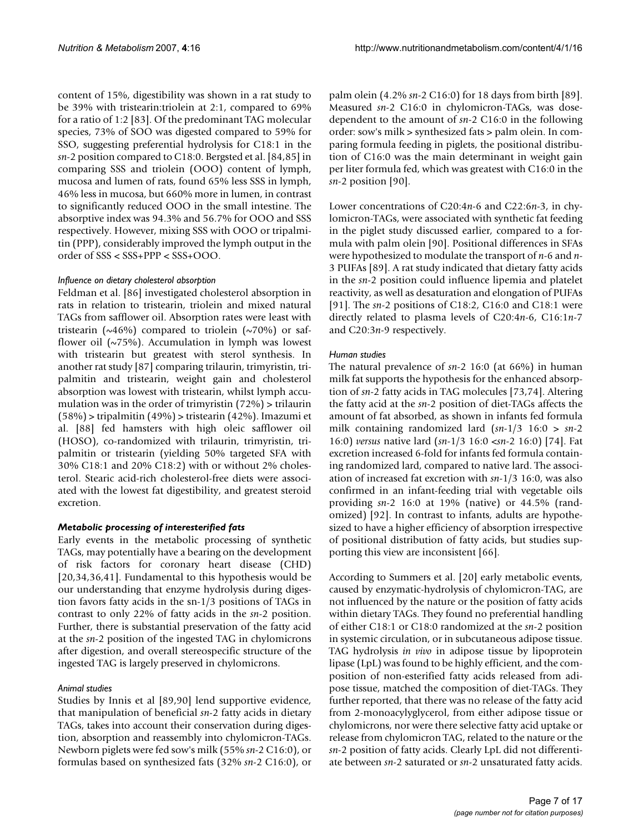content of 15%, digestibility was shown in a rat study to be 39% with tristearin:triolein at 2:1, compared to 69% for a ratio of 1:2 [83]. Of the predominant TAG molecular species, 73% of SOO was digested compared to 59% for SSO, suggesting preferential hydrolysis for C18:1 in the *sn*-2 position compared to C18:0. Bergsted et al. [84,85] in comparing SSS and triolein (OOO) content of lymph, mucosa and lumen of rats, found 65% less SSS in lymph, 46% less in mucosa, but 660% more in lumen, in contrast to significantly reduced OOO in the small intestine. The absorptive index was 94.3% and 56.7% for OOO and SSS respectively. However, mixing SSS with OOO or tripalmitin (PPP), considerably improved the lymph output in the order of SSS < SSS+PPP < SSS+OOO.

#### *Influence on dietary cholesterol absorption*

Feldman et al. [86] investigated cholesterol absorption in rats in relation to tristearin, triolein and mixed natural TAGs from safflower oil. Absorption rates were least with tristearin ( $\sim$ 46%) compared to triolein ( $\sim$ 70%) or safflower oil  $(\sim 75\%)$ . Accumulation in lymph was lowest with tristearin but greatest with sterol synthesis. In another rat study [87] comparing trilaurin, trimyristin, tripalmitin and tristearin, weight gain and cholesterol absorption was lowest with tristearin, whilst lymph accumulation was in the order of trimyristin (72%) > trilaurin (58%) > tripalmitin (49%) > tristearin (42%). Imazumi et al. [88] fed hamsters with high oleic safflower oil (HOSO), co-randomized with trilaurin, trimyristin, tripalmitin or tristearin (yielding 50% targeted SFA with 30% C18:1 and 20% C18:2) with or without 2% cholesterol. Stearic acid-rich cholesterol-free diets were associated with the lowest fat digestibility, and greatest steroid excretion.

### *Metabolic processing of interesterified fats*

Early events in the metabolic processing of synthetic TAGs, may potentially have a bearing on the development of risk factors for coronary heart disease (CHD) [20,34,36,41]. Fundamental to this hypothesis would be our understanding that enzyme hydrolysis during digestion favors fatty acids in the sn-1/3 positions of TAGs in contrast to only 22% of fatty acids in the *sn*-2 position. Further, there is substantial preservation of the fatty acid at the *sn*-2 position of the ingested TAG in chylomicrons after digestion, and overall stereospecific structure of the ingested TAG is largely preserved in chylomicrons.

### *Animal studies*

Studies by Innis et al [89,90] lend supportive evidence, that manipulation of beneficial *sn*-2 fatty acids in dietary TAGs, takes into account their conservation during digestion, absorption and reassembly into chylomicron-TAGs. Newborn piglets were fed sow's milk (55% *sn*-2 C16:0), or formulas based on synthesized fats (32% *sn*-2 C16:0), or palm olein (4.2% *sn*-2 C16:0) for 18 days from birth [89]. Measured *sn*-2 C16:0 in chylomicron-TAGs, was dosedependent to the amount of *sn*-2 C16:0 in the following order: sow's milk > synthesized fats > palm olein. In comparing formula feeding in piglets, the positional distribution of C16:0 was the main determinant in weight gain per liter formula fed, which was greatest with C16:0 in the *sn*-2 position [90].

Lower concentrations of C20:4*n*-6 and C22:6*n*-3, in chylomicron-TAGs, were associated with synthetic fat feeding in the piglet study discussed earlier, compared to a formula with palm olein [90]. Positional differences in SFAs were hypothesized to modulate the transport of *n*-6 and *n*-3 PUFAs [89]. A rat study indicated that dietary fatty acids in the *sn*-2 position could influence lipemia and platelet reactivity, as well as desaturation and elongation of PUFAs [91]. The *sn*-2 positions of C18:2, C16:0 and C18:1 were directly related to plasma levels of C20:4*n*-6, C16:1*n*-7 and C20:3*n*-9 respectively.

### *Human studies*

The natural prevalence of *sn*-2 16:0 (at 66%) in human milk fat supports the hypothesis for the enhanced absorption of *sn*-2 fatty acids in TAG molecules [73,74]. Altering the fatty acid at the *sn*-2 position of diet-TAGs affects the amount of fat absorbed, as shown in infants fed formula milk containing randomized lard (*sn*-1/3 16:0 > *sn*-2 16:0) *versus* native lard (*sn*-1/3 16:0 <*sn*-2 16:0) [74]. Fat excretion increased 6-fold for infants fed formula containing randomized lard, compared to native lard. The association of increased fat excretion with *sn*-1/3 16:0, was also confirmed in an infant-feeding trial with vegetable oils providing *sn*-2 16:0 at 19% (native) or 44.5% (randomized) [92]. In contrast to infants, adults are hypothesized to have a higher efficiency of absorption irrespective of positional distribution of fatty acids, but studies supporting this view are inconsistent [66].

According to Summers et al. [20] early metabolic events, caused by enzymatic-hydrolysis of chylomicron-TAG, are not influenced by the nature or the position of fatty acids within dietary TAGs. They found no preferential handling of either C18:1 or C18:0 randomized at the *sn*-2 position in systemic circulation, or in subcutaneous adipose tissue. TAG hydrolysis *in vivo* in adipose tissue by lipoprotein lipase (LpL) was found to be highly efficient, and the composition of non-esterified fatty acids released from adipose tissue, matched the composition of diet-TAGs. They further reported, that there was no release of the fatty acid from 2-monoacylyglycerol, from either adipose tissue or chylomicrons, nor were there selective fatty acid uptake or release from chylomicron TAG, related to the nature or the *sn*-2 position of fatty acids. Clearly LpL did not differentiate between *sn*-2 saturated or *sn*-2 unsaturated fatty acids.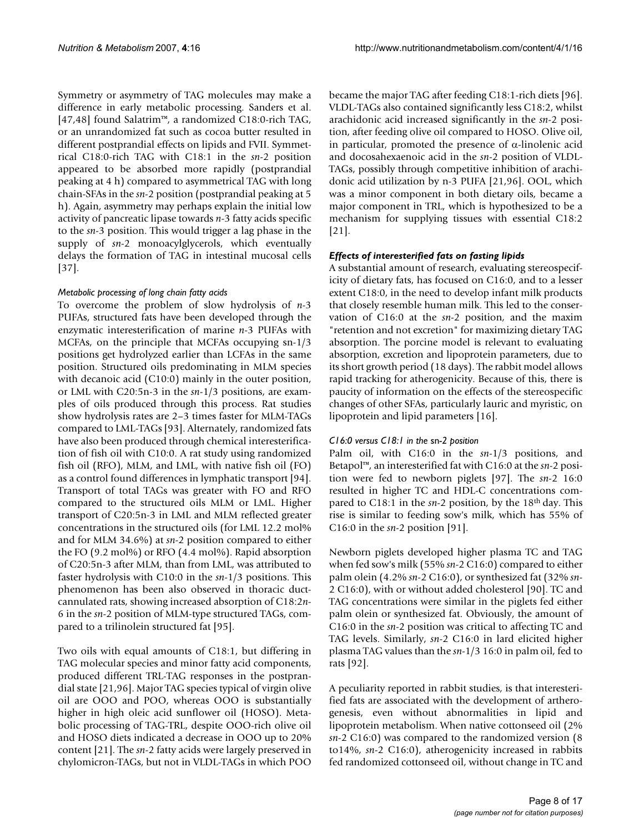Symmetry or asymmetry of TAG molecules may make a difference in early metabolic processing. Sanders et al. [47,48] found Salatrim™, a randomized C18:0-rich TAG, or an unrandomized fat such as cocoa butter resulted in different postprandial effects on lipids and FVII. Symmetrical C18:0-rich TAG with C18:1 in the *sn*-2 position appeared to be absorbed more rapidly (postprandial peaking at 4 h) compared to asymmetrical TAG with long chain-SFAs in the *sn*-2 position (postprandial peaking at 5 h). Again, asymmetry may perhaps explain the initial low activity of pancreatic lipase towards *n*-3 fatty acids specific to the *sn*-3 position. This would trigger a lag phase in the supply of *sn*-2 monoacylglycerols, which eventually delays the formation of TAG in intestinal mucosal cells [37].

# *Metabolic processing of long chain fatty acids*

To overcome the problem of slow hydrolysis of *n*-3 PUFAs, structured fats have been developed through the enzymatic interesterification of marine *n*-3 PUFAs with MCFAs, on the principle that MCFAs occupying sn-1/3 positions get hydrolyzed earlier than LCFAs in the same position. Structured oils predominating in MLM species with decanoic acid (C10:0) mainly in the outer position, or LML with C20:5n-3 in the *sn*-1/3 positions, are examples of oils produced through this process. Rat studies show hydrolysis rates are 2–3 times faster for MLM-TAGs compared to LML-TAGs [93]. Alternately, randomized fats have also been produced through chemical interesterification of fish oil with C10:0. A rat study using randomized fish oil (RFO), MLM, and LML, with native fish oil (FO) as a control found differences in lymphatic transport [94]. Transport of total TAGs was greater with FO and RFO compared to the structured oils MLM or LML. Higher transport of C20:5n-3 in LML and MLM reflected greater concentrations in the structured oils (for LML 12.2 mol% and for MLM 34.6%) at *sn*-2 position compared to either the FO (9.2 mol%) or RFO (4.4 mol%). Rapid absorption of C20:5n-3 after MLM, than from LML, was attributed to faster hydrolysis with C10:0 in the *sn*-1/3 positions. This phenomenon has been also observed in thoracic ductcannulated rats, showing increased absorption of C18:2*n*-6 in the *sn*-2 position of MLM-type structured TAGs, compared to a trilinolein structured fat [95].

Two oils with equal amounts of C18:1, but differing in TAG molecular species and minor fatty acid components, produced different TRL-TAG responses in the postprandial state [21,96]. Major TAG species typical of virgin olive oil are OOO and POO, whereas OOO is substantially higher in high oleic acid sunflower oil (HOSO). Metabolic processing of TAG-TRL, despite OOO-rich olive oil and HOSO diets indicated a decrease in OOO up to 20% content [21]. The *sn*-2 fatty acids were largely preserved in chylomicron-TAGs, but not in VLDL-TAGs in which POO

became the major TAG after feeding C18:1-rich diets [96]. VLDL-TAGs also contained significantly less C18:2, whilst arachidonic acid increased significantly in the *sn*-2 position, after feeding olive oil compared to HOSO. Olive oil, in particular, promoted the presence of α-linolenic acid and docosahexaenoic acid in the *sn*-2 position of VLDL-TAGs, possibly through competitive inhibition of arachidonic acid utilization by n-3 PUFA [21,96]. OOL, which was a minor component in both dietary oils, became a major component in TRL, which is hypothesized to be a mechanism for supplying tissues with essential C18:2 [21].

# *Effects of interesterified fats on fasting lipids*

A substantial amount of research, evaluating stereospecificity of dietary fats, has focused on C16:0, and to a lesser extent C18:0, in the need to develop infant milk products that closely resemble human milk. This led to the conservation of C16:0 at the *sn*-2 position, and the maxim "retention and not excretion" for maximizing dietary TAG absorption. The porcine model is relevant to evaluating absorption, excretion and lipoprotein parameters, due to its short growth period (18 days). The rabbit model allows rapid tracking for atherogenicity. Because of this, there is paucity of information on the effects of the stereospecific changes of other SFAs, particularly lauric and myristic, on lipoprotein and lipid parameters [16].

### *C16:0 versus C18:1 in the* sn*-2 position*

Palm oil, with C16:0 in the *sn*-1/3 positions, and Betapol™, an interesterified fat with C16:0 at the *sn*-2 position were fed to newborn piglets [97]. The *sn*-2 16:0 resulted in higher TC and HDL-C concentrations compared to C18:1 in the  $sn-2$  position, by the 18<sup>th</sup> day. This rise is similar to feeding sow's milk, which has 55% of C16:0 in the *sn*-2 position [91].

Newborn piglets developed higher plasma TC and TAG when fed sow's milk (55% *sn*-2 C16:0) compared to either palm olein (4.2% *sn*-2 C16:0), or synthesized fat (32% *sn*-2 C16:0), with or without added cholesterol [90]. TC and TAG concentrations were similar in the piglets fed either palm olein or synthesized fat. Obviously, the amount of C16:0 in the *sn*-2 position was critical to affecting TC and TAG levels. Similarly, *sn*-2 C16:0 in lard elicited higher plasma TAG values than the *sn*-1/3 16:0 in palm oil, fed to rats [92].

A peculiarity reported in rabbit studies, is that interesterified fats are associated with the development of artherogenesis, even without abnormalities in lipid and lipoprotein metabolism. When native cottonseed oil (2% *sn*-2 C16:0) was compared to the randomized version (8 to14%, *sn*-2 C16:0), atherogenicity increased in rabbits fed randomized cottonseed oil, without change in TC and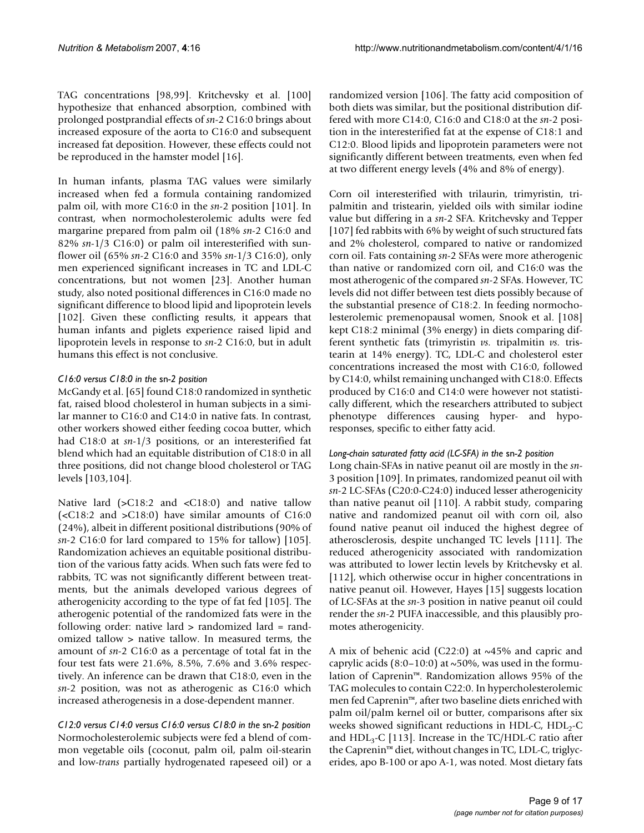TAG concentrations [98,99]. Kritchevsky et al. [100] hypothesize that enhanced absorption, combined with prolonged postprandial effects of *sn*-2 C16:0 brings about increased exposure of the aorta to C16:0 and subsequent increased fat deposition. However, these effects could not be reproduced in the hamster model [16].

In human infants, plasma TAG values were similarly increased when fed a formula containing randomized palm oil, with more C16:0 in the *sn*-2 position [101]. In contrast, when normocholesterolemic adults were fed margarine prepared from palm oil (18% *sn*-2 C16:0 and 82% *sn*-1/3 C16:0) or palm oil interesterified with sunflower oil (65% *sn*-2 C16:0 and 35% *sn*-1/3 C16:0), only men experienced significant increases in TC and LDL-C concentrations, but not women [23]. Another human study, also noted positional differences in C16:0 made no significant difference to blood lipid and lipoprotein levels [102]. Given these conflicting results, it appears that human infants and piglets experience raised lipid and lipoprotein levels in response to *sn*-2 C16:0, but in adult humans this effect is not conclusive.

# *C16:0 versus C18:0 in the* sn*-2 position*

McGandy et al. [65] found C18:0 randomized in synthetic fat, raised blood cholesterol in human subjects in a similar manner to C16:0 and C14:0 in native fats. In contrast, other workers showed either feeding cocoa butter, which had C18:0 at *sn*-1/3 positions, or an interesterified fat blend which had an equitable distribution of C18:0 in all three positions, did not change blood cholesterol or TAG levels [103,104].

Native lard (>C18:2 and <C18:0) and native tallow (<C18:2 and >C18:0) have similar amounts of C16:0 (24%), albeit in different positional distributions (90% of *sn*-2 C16:0 for lard compared to 15% for tallow) [105]. Randomization achieves an equitable positional distribution of the various fatty acids. When such fats were fed to rabbits, TC was not significantly different between treatments, but the animals developed various degrees of atherogenicity according to the type of fat fed [105]. The atherogenic potential of the randomized fats were in the following order: native lard > randomized lard = randomized tallow > native tallow. In measured terms, the amount of *sn*-2 C16:0 as a percentage of total fat in the four test fats were 21.6%, 8.5%, 7.6% and 3.6% respectively. An inference can be drawn that C18:0, even in the *sn*-2 position, was not as atherogenic as C16:0 which increased atherogenesis in a dose-dependent manner.

*C12:0 versus C14:0 versus C16:0 versus C18:0 in the* sn*-2 position* Normocholesterolemic subjects were fed a blend of common vegetable oils (coconut, palm oil, palm oil-stearin and low-*trans* partially hydrogenated rapeseed oil) or a

randomized version [106]. The fatty acid composition of both diets was similar, but the positional distribution differed with more C14:0, C16:0 and C18:0 at the *sn*-2 position in the interesterified fat at the expense of C18:1 and C12:0. Blood lipids and lipoprotein parameters were not significantly different between treatments, even when fed at two different energy levels (4% and 8% of energy).

Corn oil interesterified with trilaurin, trimyristin, tripalmitin and tristearin, yielded oils with similar iodine value but differing in a *sn*-2 SFA. Kritchevsky and Tepper [107] fed rabbits with 6% by weight of such structured fats and 2% cholesterol, compared to native or randomized corn oil. Fats containing *sn*-2 SFAs were more atherogenic than native or randomized corn oil, and C16:0 was the most atherogenic of the compared *sn*-2 SFAs. However, TC levels did not differ between test diets possibly because of the substantial presence of C18:2. In feeding normocholesterolemic premenopausal women, Snook et al. [108] kept C18:2 minimal (3% energy) in diets comparing different synthetic fats (trimyristin *vs.* tripalmitin *vs.* tristearin at 14% energy). TC, LDL-C and cholesterol ester concentrations increased the most with C16:0, followed by C14:0, whilst remaining unchanged with C18:0. Effects produced by C16:0 and C14:0 were however not statistically different, which the researchers attributed to subject phenotype differences causing hyper- and hyporesponses, specific to either fatty acid.

### *Long-chain saturated fatty acid (LC-SFA) in the* sn*-2 position*

Long chain-SFAs in native peanut oil are mostly in the *sn*-3 position [109]. In primates, randomized peanut oil with *sn*-2 LC-SFAs (C20:0-C24:0) induced lesser atherogenicity than native peanut oil [110]. A rabbit study, comparing native and randomized peanut oil with corn oil, also found native peanut oil induced the highest degree of atherosclerosis, despite unchanged TC levels [111]. The reduced atherogenicity associated with randomization was attributed to lower lectin levels by Kritchevsky et al. [112], which otherwise occur in higher concentrations in native peanut oil. However, Hayes [15] suggests location of LC-SFAs at the *sn*-3 position in native peanut oil could render the *sn*-2 PUFA inaccessible, and this plausibly promotes atherogenicity.

A mix of behenic acid (C22:0) at  $\sim$ 45% and capric and caprylic acids  $(8:0-10:0)$  at  $\sim$ 50%, was used in the formulation of Caprenin™. Randomization allows 95% of the TAG molecules to contain C22:0. In hypercholesterolemic men fed Caprenin™, after two baseline diets enriched with palm oil/palm kernel oil or butter, comparisons after six weeks showed significant reductions in HDL-C,  $HDL<sub>2</sub>-C$ and  $HDL<sub>3</sub>-C$  [113]. Increase in the TC/HDL-C ratio after the Caprenin™ diet, without changes in TC, LDL-C, triglycerides, apo B-100 or apo A-1, was noted. Most dietary fats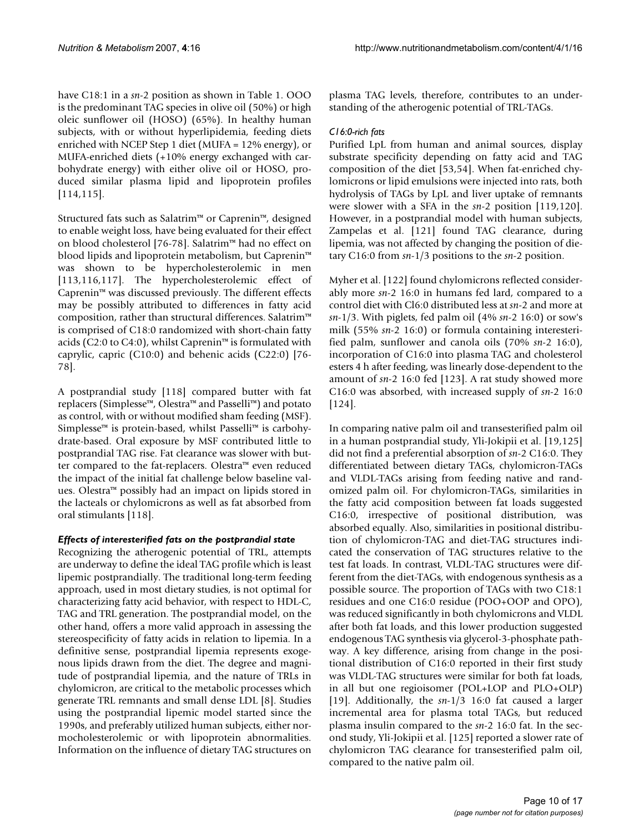have C18:1 in a *sn*-2 position as shown in Table 1. OOO is the predominant TAG species in olive oil (50%) or high oleic sunflower oil (HOSO) (65%). In healthy human subjects, with or without hyperlipidemia, feeding diets enriched with NCEP Step 1 diet (MUFA = 12% energy), or MUFA-enriched diets (+10% energy exchanged with carbohydrate energy) with either olive oil or HOSO, produced similar plasma lipid and lipoprotein profiles [114,115].

Structured fats such as Salatrim™ or Caprenin™, designed to enable weight loss, have being evaluated for their effect on blood cholesterol [76-78]. Salatrim™ had no effect on blood lipids and lipoprotein metabolism, but Caprenin™ was shown to be hypercholesterolemic in men [113,116,117]. The hypercholesterolemic effect of Caprenin™ was discussed previously. The different effects may be possibly attributed to differences in fatty acid composition, rather than structural differences. Salatrim™ is comprised of C18:0 randomized with short-chain fatty acids (C2:0 to C4:0), whilst Caprenin™ is formulated with caprylic, capric (C10:0) and behenic acids (C22:0) [76- 78].

A postprandial study [118] compared butter with fat replacers (Simplesse™, Olestra™ and Passelli™) and potato as control, with or without modified sham feeding (MSF). Simplesse™ is protein-based, whilst Passelli™ is carbohydrate-based. Oral exposure by MSF contributed little to postprandial TAG rise. Fat clearance was slower with butter compared to the fat-replacers. Olestra™ even reduced the impact of the initial fat challenge below baseline values. Olestra™ possibly had an impact on lipids stored in the lacteals or chylomicrons as well as fat absorbed from oral stimulants [118].

### *Effects of interesterified fats on the postprandial state*

Recognizing the atherogenic potential of TRL, attempts are underway to define the ideal TAG profile which is least lipemic postprandially. The traditional long-term feeding approach, used in most dietary studies, is not optimal for characterizing fatty acid behavior, with respect to HDL-C, TAG and TRL generation. The postprandial model, on the other hand, offers a more valid approach in assessing the stereospecificity of fatty acids in relation to lipemia. In a definitive sense, postprandial lipemia represents exogenous lipids drawn from the diet. The degree and magnitude of postprandial lipemia, and the nature of TRLs in chylomicron, are critical to the metabolic processes which generate TRL remnants and small dense LDL [8]. Studies using the postprandial lipemic model started since the 1990s, and preferably utilized human subjects, either normocholesterolemic or with lipoprotein abnormalities. Information on the influence of dietary TAG structures on plasma TAG levels, therefore, contributes to an understanding of the atherogenic potential of TRL-TAGs.

# *C16:0-rich fats*

Purified LpL from human and animal sources, display substrate specificity depending on fatty acid and TAG composition of the diet [53,54]. When fat-enriched chylomicrons or lipid emulsions were injected into rats, both hydrolysis of TAGs by LpL and liver uptake of remnants were slower with a SFA in the *sn*-2 position [119,120]. However, in a postprandial model with human subjects, Zampelas et al. [121] found TAG clearance, during lipemia, was not affected by changing the position of dietary C16:0 from *sn*-1/3 positions to the *sn*-2 position.

Myher et al. [122] found chylomicrons reflected considerably more *sn*-2 16:0 in humans fed lard, compared to a control diet with Cl6:0 distributed less at *sn*-2 and more at *sn*-1/3. With piglets, fed palm oil (4% *sn*-2 16:0) or sow's milk (55% *sn*-2 16:0) or formula containing interesterified palm, sunflower and canola oils (70% *sn*-2 16:0), incorporation of C16:0 into plasma TAG and cholesterol esters 4 h after feeding, was linearly dose-dependent to the amount of *sn*-2 16:0 fed [\[123\]](#page-15-0). A rat study showed more C16:0 was absorbed, with increased supply of *sn*-2 16:0 [124].

In comparing native palm oil and transesterified palm oil in a human postprandial study, Yli-Jokipii et al. [19,125] did not find a preferential absorption of *sn*-2 C16:0. They differentiated between dietary TAGs, chylomicron-TAGs and VLDL-TAGs arising from feeding native and randomized palm oil. For chylomicron-TAGs, similarities in the fatty acid composition between fat loads suggested C16:0, irrespective of positional distribution, was absorbed equally. Also, similarities in positional distribution of chylomicron-TAG and diet-TAG structures indicated the conservation of TAG structures relative to the test fat loads. In contrast, VLDL-TAG structures were different from the diet-TAGs, with endogenous synthesis as a possible source. The proportion of TAGs with two C18:1 residues and one C16:0 residue (POO+OOP and OPO), was reduced significantly in both chylomicrons and VLDL after both fat loads, and this lower production suggested endogenous TAG synthesis via glycerol-3-phosphate pathway. A key difference, arising from change in the positional distribution of C16:0 reported in their first study was VLDL-TAG structures were similar for both fat loads, in all but one regioisomer (POL+LOP and PLO+OLP) [19]. Additionally, the *sn*-1/3 16:0 fat caused a larger incremental area for plasma total TAGs, but reduced plasma insulin compared to the *sn*-2 16:0 fat. In the second study, Yli-Jokipii et al. [125] reported a slower rate of chylomicron TAG clearance for transesterified palm oil, compared to the native palm oil.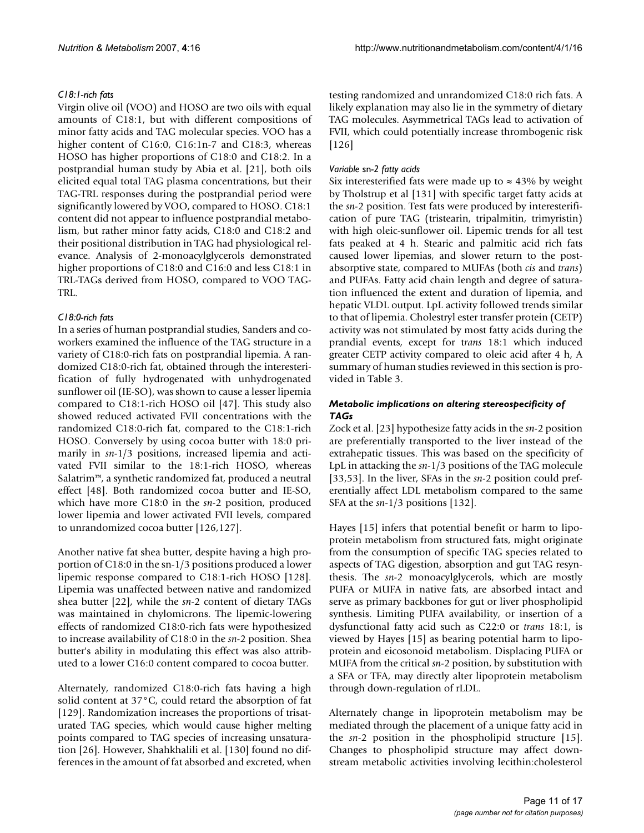# *C18:1-rich fats*

Virgin olive oil (VOO) and HOSO are two oils with equal amounts of C18:1, but with different compositions of minor fatty acids and TAG molecular species. VOO has a higher content of C16:0, C16:1n-7 and C18:3, whereas HOSO has higher proportions of C18:0 and C18:2. In a postprandial human study by Abia et al. [21], both oils elicited equal total TAG plasma concentrations, but their TAG-TRL responses during the postprandial period were significantly lowered by VOO, compared to HOSO. C18:1 content did not appear to influence postprandial metabolism, but rather minor fatty acids, C18:0 and C18:2 and their positional distribution in TAG had physiological relevance. Analysis of 2-monoacylglycerols demonstrated higher proportions of C18:0 and C16:0 and less C18:1 in TRL-TAGs derived from HOSO, compared to VOO TAG-TRL.

# *C18:0-rich fats*

In a series of human postprandial studies, Sanders and coworkers examined the influence of the TAG structure in a variety of C18:0-rich fats on postprandial lipemia. A randomized C18:0-rich fat, obtained through the interesterification of fully hydrogenated with unhydrogenated sunflower oil (IE-SO), was shown to cause a lesser lipemia compared to C18:1-rich HOSO oil [47]. This study also showed reduced activated FVII concentrations with the randomized C18:0-rich fat, compared to the C18:1-rich HOSO. Conversely by using cocoa butter with 18:0 primarily in  $sn-1/3$  positions, increased lipemia and activated FVII similar to the 18:1-rich HOSO, whereas Salatrim™, a synthetic randomized fat, produced a neutral effect [48]. Both randomized cocoa butter and IE-SO, which have more C18:0 in the *sn*-2 position, produced lower lipemia and lower activated FVII levels, compared to unrandomized cocoa butter [126,127].

Another native fat shea butter, despite having a high proportion of C18:0 in the sn-1/3 positions produced a lower lipemic response compared to C18:1-rich HOSO [128]. Lipemia was unaffected between native and randomized shea butter [22], while the *sn*-2 content of dietary TAGs was maintained in chylomicrons. The lipemic-lowering effects of randomized C18:0-rich fats were hypothesized to increase availability of C18:0 in the *sn*-2 position. Shea butter's ability in modulating this effect was also attributed to a lower C16:0 content compared to cocoa butter.

Alternately, randomized C18:0-rich fats having a high solid content at 37°C, could retard the absorption of fat [129]. Randomization increases the proportions of trisaturated TAG species, which would cause higher melting points compared to TAG species of increasing unsaturation [26]. However, Shahkhalili et al. [130] found no differences in the amount of fat absorbed and excreted, when

testing randomized and unrandomized C18:0 rich fats. A likely explanation may also lie in the symmetry of dietary TAG molecules. Asymmetrical TAGs lead to activation of FVII, which could potentially increase thrombogenic risk [126]

# *Variable* sn*-2 fatty acids*

Six interesterified fats were made up to  $\approx$  43% by weight by Tholstrup et al [131] with specific target fatty acids at the *sn*-2 position. Test fats were produced by interesterification of pure TAG (tristearin, tripalmitin, trimyristin) with high oleic-sunflower oil. Lipemic trends for all test fats peaked at 4 h. Stearic and palmitic acid rich fats caused lower lipemias, and slower return to the postabsorptive state, compared to MUFAs (both *cis* and *trans*) and PUFAs. Fatty acid chain length and degree of saturation influenced the extent and duration of lipemia, and hepatic VLDL output. LpL activity followed trends similar to that of lipemia. Cholestryl ester transfer protein (CETP) activity was not stimulated by most fatty acids during the prandial events, except for t*rans* 18:1 which induced greater CETP activity compared to oleic acid after 4 h, A summary of human studies reviewed in this section is provided in Table 3.

# *Metabolic implications on altering stereospecificity of TAGs*

Zock et al. [23] hypothesize fatty acids in the *sn*-2 position are preferentially transported to the liver instead of the extrahepatic tissues. This was based on the specificity of LpL in attacking the *sn*-1/3 positions of the TAG molecule [33,53]. In the liver, SFAs in the *sn*-2 position could preferentially affect LDL metabolism compared to the same SFA at the *sn*-1/3 positions [132].

Hayes [15] infers that potential benefit or harm to lipoprotein metabolism from structured fats, might originate from the consumption of specific TAG species related to aspects of TAG digestion, absorption and gut TAG resynthesis. The *sn*-2 monoacylglycerols, which are mostly PUFA or MUFA in native fats, are absorbed intact and serve as primary backbones for gut or liver phospholipid synthesis. Limiting PUFA availability, or insertion of a dysfunctional fatty acid such as C22:0 or *trans* 18:1, is viewed by Hayes [15] as bearing potential harm to lipoprotein and eicosonoid metabolism. Displacing PUFA or MUFA from the critical *sn*-2 position, by substitution with a SFA or TFA, may directly alter lipoprotein metabolism through down-regulation of rLDL.

Alternately change in lipoprotein metabolism may be mediated through the placement of a unique fatty acid in the *sn*-2 position in the phospholipid structure [15]. Changes to phospholipid structure may affect downstream metabolic activities involving lecithin:cholesterol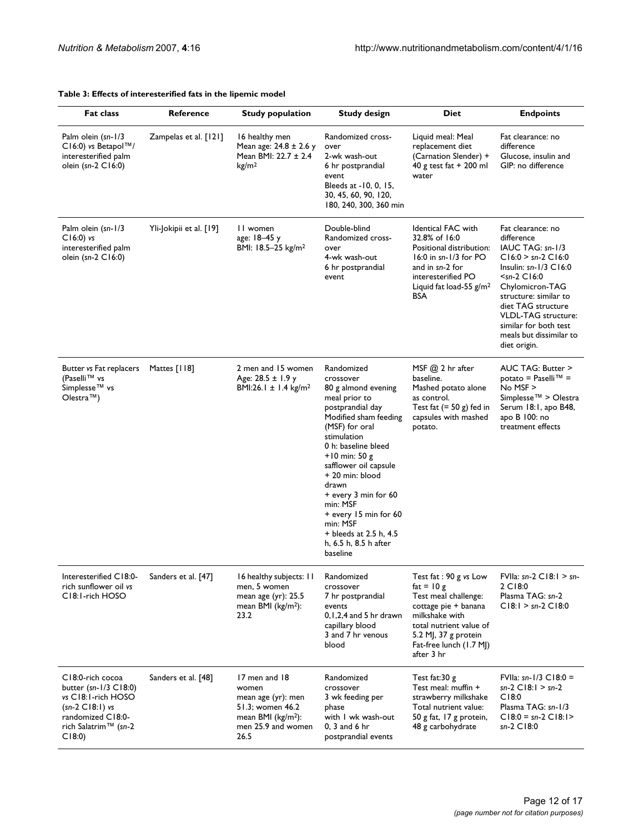#### **Table 3: Effects of interesterified fats in the lipemic model**

| <b>Fat class</b>                                                                                                                                                  | Reference               | <b>Study population</b>                                                                                                 | <b>Study design</b>                                                                                                                                                                                                                                                                                                                                                                  | <b>Diet</b>                                                                                                                                                                                        | <b>Endpoints</b>                                                                                                                                                                                                                                                                               |
|-------------------------------------------------------------------------------------------------------------------------------------------------------------------|-------------------------|-------------------------------------------------------------------------------------------------------------------------|--------------------------------------------------------------------------------------------------------------------------------------------------------------------------------------------------------------------------------------------------------------------------------------------------------------------------------------------------------------------------------------|----------------------------------------------------------------------------------------------------------------------------------------------------------------------------------------------------|------------------------------------------------------------------------------------------------------------------------------------------------------------------------------------------------------------------------------------------------------------------------------------------------|
| Palm olein (sn-1/3<br>C16:0) vs Betapol™/<br>interesterified palm<br>olein (sn-2 C16:0)                                                                           | Zampelas et al. [121]   | 16 healthy men<br>Mean age: $24.8 \pm 2.6$ y<br>Mean BMI: 22.7 ± 2.4<br>kg/m <sup>2</sup>                               | Randomized cross-<br>over<br>2-wk wash-out<br>6 hr postprandial<br>event<br>Bleeds at -10, 0, 15,<br>30, 45, 60, 90, 120,<br>180, 240, 300, 360 min                                                                                                                                                                                                                                  | Liquid meal: Meal<br>replacement diet<br>(Carnation Slender) +<br>40 g test fat $+$ 200 ml<br>water                                                                                                | Fat clearance: no<br>difference<br>Glucose, insulin and<br>GIP: no difference                                                                                                                                                                                                                  |
| Palm olein (sn-1/3<br>$C16:0$ ) vs<br>interesterified palm<br>olein (sn-2 C16:0)                                                                                  | Yli-Jokipii et al. [19] | II women<br>age: 18-45 y<br>BMI: 18.5-25 kg/m <sup>2</sup>                                                              | Double-blind<br>Randomized cross-<br>over<br>4-wk wash-out<br>6 hr postprandial<br>event                                                                                                                                                                                                                                                                                             | <b>Identical FAC with</b><br>32.8% of 16:0<br>Positional distribution:<br>$16:0$ in sn- $1/3$ for PO<br>and in sn-2 for<br>interesterified PO<br>Liquid fat load-55 $g/m2$<br><b>BSA</b>           | Fat clearance: no<br>difference<br>IAUC TAG: sn-1/3<br>$CI 6:0 > sn-2 CI 6:0$<br>Insulin: $sn-1/3$ $Cl6:0$<br>$sn-2 C16:0$<br>Chylomicron-TAG<br>structure: similar to<br>diet TAG structure<br><b>VLDL-TAG structure:</b><br>similar for both test<br>meals but dissimilar to<br>diet origin. |
| Butter vs Fat replacers<br>(Paselli™ vs<br>Simplesse™ vs<br>Olestra $TM$ )                                                                                        | Mattes [118]            | 2 men and 15 women<br>Age: $28.5 \pm 1.9$ y<br>BMI:26.1 $\pm$ 1.4 kg/m <sup>2</sup>                                     | Randomized<br>crossover<br>80 g almond evening<br>meal prior to<br>postprandial day<br>Modified sham feeding<br>(MSF) for oral<br>stimulation<br>0 h: baseline bleed<br>$+10$ min: 50 g<br>safflower oil capsule<br>+ 20 min: blood<br>drawn<br>+ every 3 min for 60<br>min: MSF<br>+ every 15 min for 60<br>min: MSF<br>+ bleeds at 2.5 h, 4.5<br>h, 6.5 h, 8.5 h after<br>baseline | MSF $(2)$ 2 hr after<br>baseline.<br>Mashed potato alone<br>as control.<br>Test fat $(= 50 g)$ fed in<br>capsules with mashed<br>potato.                                                           | AUC TAG: Butter ><br>potato = Paselli™ =<br>$No$ MSF $>$<br>Simplesse™ > Olestra<br>Serum 18:1, apo B48,<br>apo B 100: no<br>treatment effects                                                                                                                                                 |
| Interesterified C18:0-<br>rich sunflower oil vs<br>C18:1-rich HOSO                                                                                                | Sanders et al. [47]     | 16 healthy subjects: 11<br>men, 5 women<br>mean age (yr): 25.5<br>mean BMI ( $kg/m2$ ):<br>23.2                         | Randomized<br>crossover<br>7 hr postprandial<br>events<br>$0,1,2,4$ and 5 hr drawn<br>capillary blood<br>3 and 7 hr venous<br>blood                                                                                                                                                                                                                                                  | Test fat: 90 g vs Low<br>fat = $10g$<br>Test meal challenge:<br>cottage pie + banana<br>milkshake with<br>total nutrient value of<br>5.2 MJ, 37 g protein<br>Fat-free lunch (1.7 MJ)<br>after 3 hr | FVIIa: $sn-2$ C18:1 > $sn-$<br>2 C18:0<br>Plasma TAG: sn-2<br>$C18:1 > sn-2 C18:0$                                                                                                                                                                                                             |
| C18:0-rich cocoa<br>butter $(sn-1/3 \text{ C}18:0)$<br>vs C18:1-rich HOSO<br>$(sn-2 C18:1)$ vs<br>randomized C18:0-<br>rich Salatrim <sup>™</sup> (sn-2<br>C18:0) | Sanders et al. [48]     | 17 men and 18<br>women<br>mean age (yr): men<br>51.3; women 46.2<br>mean BMI ( $kg/m2$ ):<br>men 25.9 and women<br>26.5 | Randomized<br>crossover<br>3 wk feeding per<br>phase<br>with I wk wash-out<br>$0, 3$ and $6$ hr<br>postprandial events                                                                                                                                                                                                                                                               | Test fat:30 g<br>Test meal: muffin +<br>strawberry milkshake<br>Total nutrient value:<br>50 g fat, 17 g protein,<br>48 g carbohydrate                                                              | FVIIa: $\text{sn-1/3} \text{ C}18:0 =$<br>$sn-2$ C18:1 > $sn-2$<br>C18:0<br>Plasma TAG: sn-1/3<br>$C18:0 = sn-2 C18:1>$<br>sn-2 C18:0                                                                                                                                                          |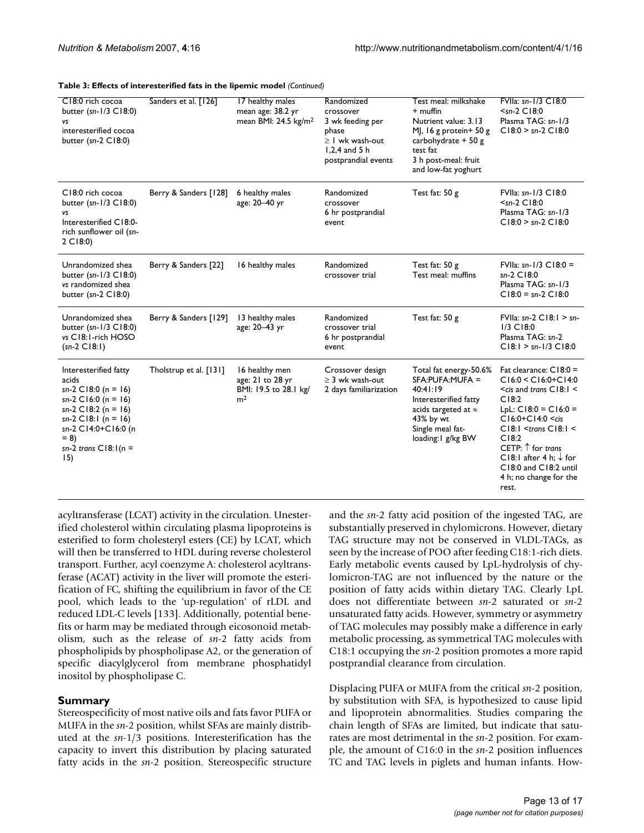| Table 3: Effects of interesterified fats in the lipemic model (Continued) |  |
|---------------------------------------------------------------------------|--|
|---------------------------------------------------------------------------|--|

| C18:0 rich cocoa<br>butter (sn- $1/3$ C18:0)<br>vs<br>interesterified cocoa<br>butter $(sn-2)$ C18:0)                                                                                           | Sanders et al. [126]   | 17 healthy males<br>mean age: 38.2 yr<br>mean BMI: 24.5 kg/m <sup>2</sup>     | Randomized<br>crossover<br>3 wk feeding per<br>phase<br>$\geq$   wk wash-out<br>$1,2,4$ and 5 h<br>postprandial events | Test meal: milkshake<br>$+$ muffin<br>Nutrient value: 3.13<br>MJ, 16 g protein + 50 g<br>carbohydrate $+50$ g<br>test fat<br>3 h post-meal: fruit<br>and low-fat yoghurt | FVIIa: sn-1/3 C18:0<br>$sn-2 C18:0$<br>Plasma TAG: sn-1/3<br>$C18:0 > sn-2 C18:0$                                                                                                                                                                                                                                      |
|-------------------------------------------------------------------------------------------------------------------------------------------------------------------------------------------------|------------------------|-------------------------------------------------------------------------------|------------------------------------------------------------------------------------------------------------------------|--------------------------------------------------------------------------------------------------------------------------------------------------------------------------|------------------------------------------------------------------------------------------------------------------------------------------------------------------------------------------------------------------------------------------------------------------------------------------------------------------------|
| C18:0 rich cocoa<br>butter (sn-1/3 C18:0)<br>vs<br>Interesterified C18:0-<br>rich sunflower oil (sn-<br>$2$ C18:0)                                                                              | Berry & Sanders [128]  | 6 healthy males<br>age: 20-40 yr                                              | Randomized<br>crossover<br>6 hr postprandial<br>event                                                                  | Test fat: $50 g$                                                                                                                                                         | FVIIa: sn-1/3 C18:0<br>$sn-2 C18:0$<br>Plasma TAG: sn-1/3<br>$C18:0 > sn-2 C18:0$                                                                                                                                                                                                                                      |
| Unrandomized shea<br>butter $(sn-1/3 \text{ C}18:0)$<br>vs randomized shea<br>butter ( $sn-2$ C18:0)                                                                                            | Berry & Sanders [22]   | 16 healthy males                                                              | Randomized<br>crossover trial                                                                                          | Test fat: 50 g<br>Test meal: muffins                                                                                                                                     | FVIIa: $\sin^{-1}/3$ C18:0 =<br>sn-2 C18:0<br>Plasma TAG: sn-1/3<br>$C18:0 = sn-2 C18:0$                                                                                                                                                                                                                               |
| Unrandomized shea<br>butter (sn- $1/3$ C18:0)<br>vs C18:1-rich HOSO<br>$(sn-2 C18:1)$                                                                                                           | Berry & Sanders [129]  | 13 healthy males<br>age: 20-43 yr                                             | Randomized<br>crossover trial<br>6 hr postprandial<br>event                                                            | Test fat: 50 g                                                                                                                                                           | FVIIa: $sn-2$ C18:1 > $sn-$<br>$1/3$ $C18:0$<br>Plasma TAG: sn-2<br>$CI8:1 > sn-1/3 CI8:0$                                                                                                                                                                                                                             |
| Interesterified fatty<br>acids<br>$sn-2$ C18:0 (n = 16)<br>$sn-2$ C16:0 (n = 16)<br>sn-2 C18:2 (n = 16)<br>sn-2 C18:1 (n = 16)<br>sn-2 C14:0+C16:0 (n<br>$= 8$<br>sn-2 trans $C18:1(n =$<br>15) | Tholstrup et al. [131] | 16 healthy men<br>age: 21 to 28 yr<br>BMI: 19.5 to 28.1 kg/<br>m <sup>2</sup> | Crossover design<br>$\geq$ 3 wk wash-out<br>2 days familiarization                                                     | Total fat energy-50.6%<br>SFA:PUFA:MUFA =<br>40:41:19<br>Interesterified fatty<br>acids targeted at $\approx$<br>43% by wt<br>Single meal fat-<br>loading: I g/kg BW     | Fat clearance: C18:0 =<br>$C16:0 < C16:0 + C14:0$<br>$\le$ cis and trans C18:1 $\le$<br>C18:2<br>LpL: $C18:0 = C16:0 =$<br>$C16:0+C14:0 \leq$ cis<br>$C18:1 <$ trans $C18:1 <$<br>C18:2<br>CETP: $\uparrow$ for trans<br>C18:1 after 4 h: $\downarrow$ for<br>C18:0 and C18:2 until<br>4 h; no change for the<br>rest. |

acyltransferase (LCAT) activity in the circulation. Unesterified cholesterol within circulating plasma lipoproteins is esterified to form cholesteryl esters (CE) by LCAT, which will then be transferred to HDL during reverse cholesterol transport. Further, acyl coenzyme A: cholesterol acyltransferase (ACAT) activity in the liver will promote the esterification of FC, shifting the equilibrium in favor of the CE pool, which leads to the 'up-regulation' of rLDL and reduced LDL-C levels [133]. Additionally, potential benefits or harm may be mediated through eicosonoid metabolism, such as the release of *sn*-2 fatty acids from phospholipids by phospholipase A2, or the generation of specific diacylglycerol from membrane phosphatidyl inositol by phospholipase C.

# **Summary**

Stereospecificity of most native oils and fats favor PUFA or MUFA in the *sn*-2 position, whilst SFAs are mainly distributed at the *sn*-1/3 positions. Interesterification has the capacity to invert this distribution by placing saturated fatty acids in the *sn*-2 position. Stereospecific structure and the *sn*-2 fatty acid position of the ingested TAG, are substantially preserved in chylomicrons. However, dietary TAG structure may not be conserved in VLDL-TAGs, as seen by the increase of POO after feeding C18:1-rich diets. Early metabolic events caused by LpL-hydrolysis of chylomicron-TAG are not influenced by the nature or the position of fatty acids within dietary TAG. Clearly LpL does not differentiate between *sn*-2 saturated or *sn*-2 unsaturated fatty acids. However, symmetry or asymmetry of TAG molecules may possibly make a difference in early metabolic processing, as symmetrical TAG molecules with C18:1 occupying the *sn*-2 position promotes a more rapid postprandial clearance from circulation.

Displacing PUFA or MUFA from the critical *sn*-2 position, by substitution with SFA, is hypothesized to cause lipid and lipoprotein abnormalities. Studies comparing the chain length of SFAs are limited, but indicate that saturates are most detrimental in the *sn*-2 position. For example, the amount of C16:0 in the *sn*-2 position influences TC and TAG levels in piglets and human infants. How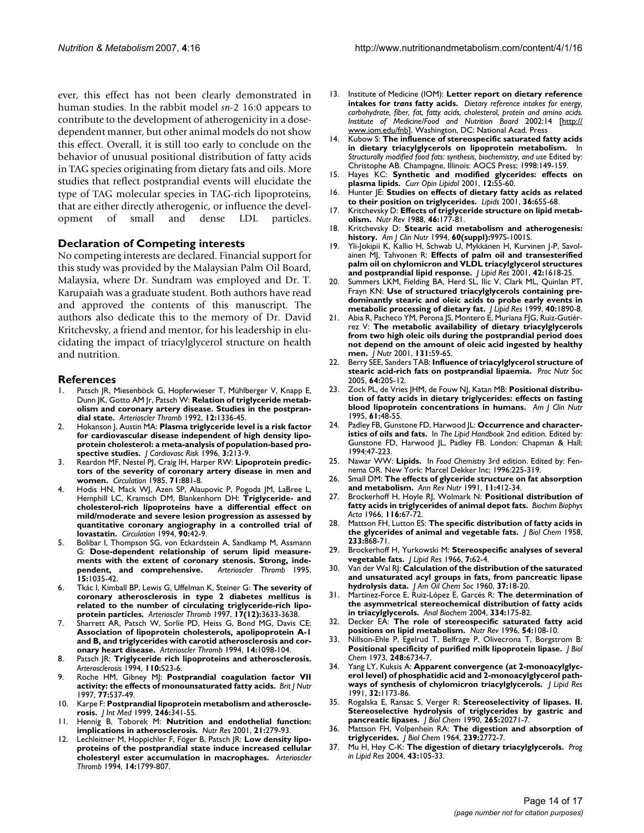ever, this effect has not been clearly demonstrated in human studies. In the rabbit model *sn*-2 16:0 appears to contribute to the development of atherogenicity in a dosedependent manner, but other animal models do not show this effect. Overall, it is still too early to conclude on the behavior of unusual positional distribution of fatty acids in TAG species originating from dietary fats and oils. More studies that reflect postprandial events will elucidate the type of TAG molecular species in TAG-rich lipoproteins, that are either directly atherogenic, or influence the development of small and dense LDL particles.

#### **Declaration of Competing interests**

No competing interests are declared. Financial support for this study was provided by the Malaysian Palm Oil Board, Malaysia, where Dr. Sundram was employed and Dr. T. Karupaiah was a graduate student. Both authors have read and approved the contents of this manuscript. The authors also dedicate this to the memory of Dr. David Kritchevsky, a friend and mentor, for his leadership in elucidating the impact of triacylglycerol structure on health and nutrition.

#### **References**

- 1. Patsch JR, Miesenböck G, Hopferwieser T, Mühlberger V, Knapp E, Dunn JK, Gotto AM Jr, Patsch W: **[Relation of triglyceride metab](http://www.ncbi.nlm.nih.gov/entrez/query.fcgi?cmd=Retrieve&db=PubMed&dopt=Abstract&list_uids=1420093)[olism and coronary artery disease. Studies in the postpran](http://www.ncbi.nlm.nih.gov/entrez/query.fcgi?cmd=Retrieve&db=PubMed&dopt=Abstract&list_uids=1420093)[dial state.](http://www.ncbi.nlm.nih.gov/entrez/query.fcgi?cmd=Retrieve&db=PubMed&dopt=Abstract&list_uids=1420093)** *Arterioscler Thromb* 1992, **12:**1336-45.
- 2. Hokanson J, Austin MA: **[Plasma triglyceride level is a risk factor](http://www.ncbi.nlm.nih.gov/entrez/query.fcgi?cmd=Retrieve&db=PubMed&dopt=Abstract&list_uids=8836866) [for cardiovascular disease independent of high density lipo](http://www.ncbi.nlm.nih.gov/entrez/query.fcgi?cmd=Retrieve&db=PubMed&dopt=Abstract&list_uids=8836866)protein cholesterol: a meta-analysis of population-based pro[spective studies.](http://www.ncbi.nlm.nih.gov/entrez/query.fcgi?cmd=Retrieve&db=PubMed&dopt=Abstract&list_uids=8836866)** *J Cardiovasc Risk* 1996, **3:**213-9.
- 3. Reardon MF, Nestel PJ, Craig IH, Harper RW: **[Lipoprotein predic](http://www.ncbi.nlm.nih.gov/entrez/query.fcgi?cmd=Retrieve&db=PubMed&dopt=Abstract&list_uids=3986978)[tors of the severity of coronary artery disease in men and](http://www.ncbi.nlm.nih.gov/entrez/query.fcgi?cmd=Retrieve&db=PubMed&dopt=Abstract&list_uids=3986978) [women.](http://www.ncbi.nlm.nih.gov/entrez/query.fcgi?cmd=Retrieve&db=PubMed&dopt=Abstract&list_uids=3986978)** *Circulation* 1985, **71:**881-8.
- 4. Hodis HN, Mack WJ, Azen SP, Alaupovic P, Pogoda JM, LaBree L, Hemphill LC, Kramsch DM, Blankenhorn DH: **[Triglyceride- and](http://www.ncbi.nlm.nih.gov/entrez/query.fcgi?cmd=Retrieve&db=PubMed&dopt=Abstract&list_uids=8026027) [cholesterol-rich lipoproteins have a differential effect on](http://www.ncbi.nlm.nih.gov/entrez/query.fcgi?cmd=Retrieve&db=PubMed&dopt=Abstract&list_uids=8026027) mild/moderate and severe lesion progression as assessed by quantitative coronary angiography in a controlled trial of [lovastatin.](http://www.ncbi.nlm.nih.gov/entrez/query.fcgi?cmd=Retrieve&db=PubMed&dopt=Abstract&list_uids=8026027)** *Circulation* 1994, **90:**42-9.
- 5. Bolibar I, Thompson SG, von Eckardstein A, Sandkamp M, Assmann G: **Dose-dependent relationship of serum lipid measurements with the extent of coronary stenosis. Strong, independent, and comprehensive.** *Arterioscler Thromb* 1995, **15:**1035-42.
- 6. Tkác I, Kimball BP, Lewis G, Uffelman K, Steiner G: **The severity of coronary atherosclerosis in type 2 diabetes mellitus is related to the number of circulating triglyceride-rich lipoprotein particles.** *Arterioscler Thromb* 1997, **17(12):**3633-3638.
- 7. Sharrett AR, Patsch W, Sorlie PD, Heiss G, Bond MG, Davis CE: **[Association of lipoprotein cholesterols, apolipoprotein A-1](http://www.ncbi.nlm.nih.gov/entrez/query.fcgi?cmd=Retrieve&db=PubMed&dopt=Abstract&list_uids=8018665) and B, and triglycerides with carotid atherosclerosis and cor[onary heart disease.](http://www.ncbi.nlm.nih.gov/entrez/query.fcgi?cmd=Retrieve&db=PubMed&dopt=Abstract&list_uids=8018665)** *Arterioscler Thromb* 1994, **14:**1098-104.
- 8. Patsch JR: **Triglyceride rich lipoproteins and atherosclerosis.** *Arterosclerosis* 1994, **110:**S23-6.
- 9. Roche HM, Gibney MJ: **[Postprandial coagulation factor VII](http://www.ncbi.nlm.nih.gov/entrez/query.fcgi?cmd=Retrieve&db=PubMed&dopt=Abstract&list_uids=9155504) [activity: the effects of monounsaturated fatty acids.](http://www.ncbi.nlm.nih.gov/entrez/query.fcgi?cmd=Retrieve&db=PubMed&dopt=Abstract&list_uids=9155504)** *Brit J Nutr* 1997, **77:**537-49.
- 10. Karpe F: **Postprandial lipoprotein metabolism and atherosclerosis.** *J Int Med* 1999, **246:**341-55.
- 11. Hennig B, Toborek M: **Nutrition and endothelial function: implications in atherosclerosis.** *Nutr Res* 2001, **21:**279-93.
- 12. Lechleitner M, Hoppichler F, Föger B, Patsch JR: **[Low density lipo](http://www.ncbi.nlm.nih.gov/entrez/query.fcgi?cmd=Retrieve&db=PubMed&dopt=Abstract&list_uids=7947606)[proteins of the postprandial state induce increased cellular](http://www.ncbi.nlm.nih.gov/entrez/query.fcgi?cmd=Retrieve&db=PubMed&dopt=Abstract&list_uids=7947606) [cholesteryl ester accumulation in macrophages.](http://www.ncbi.nlm.nih.gov/entrez/query.fcgi?cmd=Retrieve&db=PubMed&dopt=Abstract&list_uids=7947606)** *Arterioscler Thromb* 1994, **14:**1799-807.
- 13. Institute of Medicine (IOM): **Letter report on dietary reference intakes for** *trans* **fatty acids.** *Dietary reference intakes for energy, carbohydrate, fiber, fat, fatty acids, cholesterol, protein and amino acids. Institute of Medicine/Food and Nutrition Board* 2002:14 [\[http://](http://www.iom.edu/fnb) [www.iom.edu/fnb](http://www.iom.edu/fnb)]. Washington, DC: National Acad. Press
- 14. Kubow S: **The influence of stereospecific saturated fatty acids in dietary triacylglycerols on lipoprotein metabolism.** In *Structurally modified food fats: synthesis, biochemistry, and use* Edited by: Christophe AB. Champagne, Illinois: AOCS Press; 1998:149-159.
- 15. Hayes KC: **[Synthetic and modified glycerides: effects on](http://www.ncbi.nlm.nih.gov/entrez/query.fcgi?cmd=Retrieve&db=PubMed&dopt=Abstract&list_uids=11176204) [plasma lipids.](http://www.ncbi.nlm.nih.gov/entrez/query.fcgi?cmd=Retrieve&db=PubMed&dopt=Abstract&list_uids=11176204)** *Curr Opin Lipidol* 2001, **12:**55-60.
- 16. Hunter JE: **[Studies on effects of dietary fatty acids as related](http://www.ncbi.nlm.nih.gov/entrez/query.fcgi?cmd=Retrieve&db=PubMed&dopt=Abstract&list_uids=11521963) [to their position on triglycerides.](http://www.ncbi.nlm.nih.gov/entrez/query.fcgi?cmd=Retrieve&db=PubMed&dopt=Abstract&list_uids=11521963)** *Lipids* 2001, **36:**655-68.
- 17. Kritchevsky D: **[Effects of triglyceride structure on lipid metab](http://www.ncbi.nlm.nih.gov/entrez/query.fcgi?cmd=Retrieve&db=PubMed&dopt=Abstract&list_uids=3288909)[olism.](http://www.ncbi.nlm.nih.gov/entrez/query.fcgi?cmd=Retrieve&db=PubMed&dopt=Abstract&list_uids=3288909)** *Nutr Rev* 1988, **46:**177-81.
- 18. Kritchevsky D: **Stearic acid metabolism and atherogenesis: history.** *Am J Clin Nutr* 1994, **60(suppl):**997S-1001S.
- 19. Yli-Jokipii K, Kallio H, Schwab U, Mykkänen H, Kurvinen J-P, Savolainen MJ, Tahvonen R: **[Effects of palm oil and transesterified](http://www.ncbi.nlm.nih.gov/entrez/query.fcgi?cmd=Retrieve&db=PubMed&dopt=Abstract&list_uids=11590218) [palm oil on chylomicron and VLDL triacylglycerol structures](http://www.ncbi.nlm.nih.gov/entrez/query.fcgi?cmd=Retrieve&db=PubMed&dopt=Abstract&list_uids=11590218) [and postprandial lipid response.](http://www.ncbi.nlm.nih.gov/entrez/query.fcgi?cmd=Retrieve&db=PubMed&dopt=Abstract&list_uids=11590218)** *J Lipid Res* 2001, **42:**1618-25.
- Summers LKM, Fielding BA, Herd SL, Ilic V, Clark ML, Quinlan PT, Frayn KN: **[Use of structured triacylglycerols containing pre](http://www.ncbi.nlm.nih.gov/entrez/query.fcgi?cmd=Retrieve&db=PubMed&dopt=Abstract&list_uids=10508209)[dominantly stearic and oleic acids to probe early events in](http://www.ncbi.nlm.nih.gov/entrez/query.fcgi?cmd=Retrieve&db=PubMed&dopt=Abstract&list_uids=10508209) [metabolic processing of dietary fat.](http://www.ncbi.nlm.nih.gov/entrez/query.fcgi?cmd=Retrieve&db=PubMed&dopt=Abstract&list_uids=10508209)** *J Lipid Res* 1999, **40:**1890-8.
- 21. Abia R, Pacheco YM, Perona JS, Montero E, Muriana FJG, Ruiz-Gutiérrez V: **[The metabolic availability of dietary triacylglycerols](http://www.ncbi.nlm.nih.gov/entrez/query.fcgi?cmd=Retrieve&db=PubMed&dopt=Abstract&list_uids=11208939) [from two high oleic oils during the postprandial period does](http://www.ncbi.nlm.nih.gov/entrez/query.fcgi?cmd=Retrieve&db=PubMed&dopt=Abstract&list_uids=11208939) not depend on the amount of oleic acid ingested by healthy [men.](http://www.ncbi.nlm.nih.gov/entrez/query.fcgi?cmd=Retrieve&db=PubMed&dopt=Abstract&list_uids=11208939)** *J Nutr* 2001, **131:**59-65.
- 22. Berry SEE, Sanders TAB: **[Influence of triacylglycerol structure of](http://www.ncbi.nlm.nih.gov/entrez/query.fcgi?cmd=Retrieve&db=PubMed&dopt=Abstract&list_uids=15960865) [stearic acid-rich fats on postprandial lipaemia.](http://www.ncbi.nlm.nih.gov/entrez/query.fcgi?cmd=Retrieve&db=PubMed&dopt=Abstract&list_uids=15960865)** *Proc Nutr Soc* 2005, **64:**205-12.
- 23. Zock PL, de Vries JHM, de Fouw NJ, Katan MB: **[Positional distribu](http://www.ncbi.nlm.nih.gov/entrez/query.fcgi?cmd=Retrieve&db=PubMed&dopt=Abstract&list_uids=7825538)[tion of fatty acids in dietary triglycerides: effects on fasting](http://www.ncbi.nlm.nih.gov/entrez/query.fcgi?cmd=Retrieve&db=PubMed&dopt=Abstract&list_uids=7825538) [blood lipoprotein concentrations in humans.](http://www.ncbi.nlm.nih.gov/entrez/query.fcgi?cmd=Retrieve&db=PubMed&dopt=Abstract&list_uids=7825538)** *Am J Clin Nutr* 1995, **61:**48-55.
- 24. Padley FB, Gunstone FD, Harwood JL: **Occurrence and characteristics of oils and fats.** In *The Lipid Handbook* 2nd edition. Edited by: Gunstone FD, Harwood JL, Padley FB. London: Chapman & Hall; 1994:47-223.
- 25. Nawar WW: **Lipids.** In *Food Chemistry* 3rd edition. Edited by: Fennema OR. New York: Marcel Dekker Inc; 1996:225-319.
- 26. Small DM: **The effects of glyceride structure on fat absorption and metabolism.** *Ann Rev Nutr* 1991, **11:**412-34.
- 27. Brockerhoff H, Hoyle RJ, Wolmark N: **[Positional distribution of](http://www.ncbi.nlm.nih.gov/entrez/query.fcgi?cmd=Retrieve&db=PubMed&dopt=Abstract&list_uids=5942462) [fatty acids in triglycerides of animal depot fats.](http://www.ncbi.nlm.nih.gov/entrez/query.fcgi?cmd=Retrieve&db=PubMed&dopt=Abstract&list_uids=5942462)** *Biochim Biophys Acta* 1966, **116:**67-72.
- 28. Mattson FH, Lutton ES: **[The specific distribution of fatty acids in](http://www.ncbi.nlm.nih.gov/entrez/query.fcgi?cmd=Retrieve&db=PubMed&dopt=Abstract&list_uids=13587507) [the glycerides of animal and vegetable fats.](http://www.ncbi.nlm.nih.gov/entrez/query.fcgi?cmd=Retrieve&db=PubMed&dopt=Abstract&list_uids=13587507)** *J Biol Chem* 1958, **233:**868-71.
- 29. Brockerhoff H, Yurkowski M: **[Stereospecific analyses of several](http://www.ncbi.nlm.nih.gov/entrez/query.fcgi?cmd=Retrieve&db=PubMed&dopt=Abstract&list_uids=5900222) [vegetable fats.](http://www.ncbi.nlm.nih.gov/entrez/query.fcgi?cmd=Retrieve&db=PubMed&dopt=Abstract&list_uids=5900222)** *J Lipid Res* 1966, **7:**62-4.
- 30. Van der Wal RJ: **Calculation of the distribution of the saturated and unsaturated acyl groups in fats, from pancreatic lipase hydrolysis data.** *J Am Oil Chem Soc* 1960, **37:**18-20.
- 31. Martínez-Force E, Ruiz-López Ë, Garcés R: **[The determination of](http://www.ncbi.nlm.nih.gov/entrez/query.fcgi?cmd=Retrieve&db=PubMed&dopt=Abstract&list_uids=15464966) [the asymmetrical stereochemical distribution of fatty acids](http://www.ncbi.nlm.nih.gov/entrez/query.fcgi?cmd=Retrieve&db=PubMed&dopt=Abstract&list_uids=15464966) [in triacylglycerols.](http://www.ncbi.nlm.nih.gov/entrez/query.fcgi?cmd=Retrieve&db=PubMed&dopt=Abstract&list_uids=15464966)** *Anal Biochem* 2004, **334:**175-82.
- 32. Decker EA: **[The role of stereospecific saturated fatty acid](http://www.ncbi.nlm.nih.gov/entrez/query.fcgi?cmd=Retrieve&db=PubMed&dopt=Abstract&list_uids=8710239) [positions on lipid metabolism.](http://www.ncbi.nlm.nih.gov/entrez/query.fcgi?cmd=Retrieve&db=PubMed&dopt=Abstract&list_uids=8710239)** *Nutr Rev* 1996, **54:**108-10.
- 33. Nillson-Ehle P, Egelrud T, Belfrage P, Olivecrona T, Borgstrom B: **[Positional specificity of purified milk lipoprotein lipase.](http://www.ncbi.nlm.nih.gov/entrez/query.fcgi?cmd=Retrieve&db=PubMed&dopt=Abstract&list_uids=4355505)** *J Biol Chem* 1973, **248:**6734-7.
- 34. Yang LY, Kuksis A: **[Apparent convergence \(at 2-monoacylglyc](http://www.ncbi.nlm.nih.gov/entrez/query.fcgi?cmd=Retrieve&db=PubMed&dopt=Abstract&list_uids=1940641)[erol level\) of phosphatidic acid and 2-monoacylglycerol path](http://www.ncbi.nlm.nih.gov/entrez/query.fcgi?cmd=Retrieve&db=PubMed&dopt=Abstract&list_uids=1940641)[ways of synthesis of chylomicron triacylglycerols.](http://www.ncbi.nlm.nih.gov/entrez/query.fcgi?cmd=Retrieve&db=PubMed&dopt=Abstract&list_uids=1940641)** *J Lipid Res* 1991, **32:**1173-86.
- 35. Rogalska E, Ransac S, Verger R: **[Stereoselectivity of lipases. II.](http://www.ncbi.nlm.nih.gov/entrez/query.fcgi?cmd=Retrieve&db=PubMed&dopt=Abstract&list_uids=2243091) [Stereoselective hydrolysis of triglycerides by gastric and](http://www.ncbi.nlm.nih.gov/entrez/query.fcgi?cmd=Retrieve&db=PubMed&dopt=Abstract&list_uids=2243091) [pancreatic lipases.](http://www.ncbi.nlm.nih.gov/entrez/query.fcgi?cmd=Retrieve&db=PubMed&dopt=Abstract&list_uids=2243091)** *J Biol Chem* 1990, **265:**20271-7.
- 36. Mattson FH, Volpenhein RA: **[The digestion and absorption of](http://www.ncbi.nlm.nih.gov/entrez/query.fcgi?cmd=Retrieve&db=PubMed&dopt=Abstract&list_uids=14216426) [triglycerides.](http://www.ncbi.nlm.nih.gov/entrez/query.fcgi?cmd=Retrieve&db=PubMed&dopt=Abstract&list_uids=14216426)** *J Biol Chem* 1964, **239:**2772-7.
- 37. Mu H, Høy C-K: **The digestion of dietary triacylglycerols.** *Prog in Lipid Res* 2004, **43:**105-33.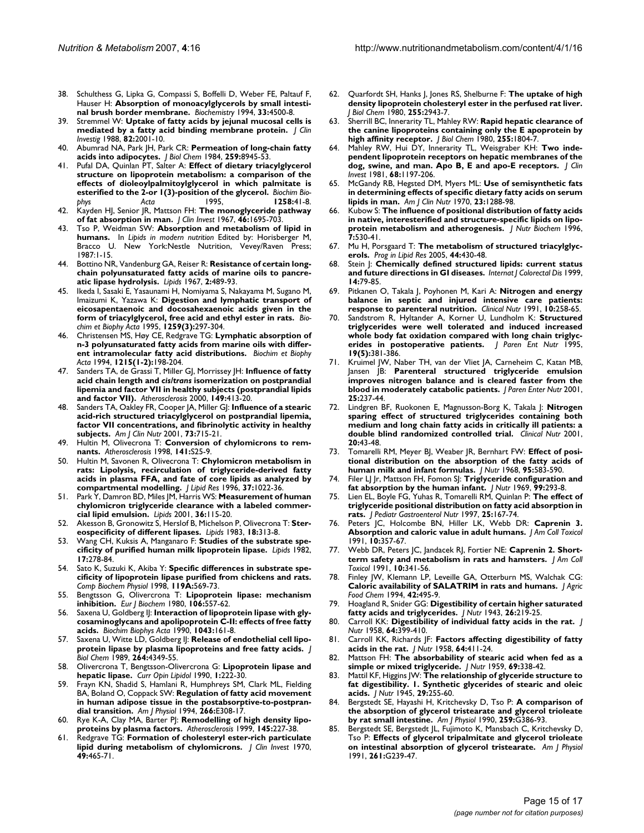- 38. Schulthess G, Lipka G, Compassi S, Boffelli D, Weber FE, Paltauf F, Hauser H: **[Absorption of monoacylglycerols by small intesti](http://www.ncbi.nlm.nih.gov/entrez/query.fcgi?cmd=Retrieve&db=PubMed&dopt=Abstract&list_uids=8161504)[nal brush border membrane.](http://www.ncbi.nlm.nih.gov/entrez/query.fcgi?cmd=Retrieve&db=PubMed&dopt=Abstract&list_uids=8161504)** *Biochemistry* 1994, **33:**4500-8.
- 39. Stremmel W: **[Uptake of fatty acids by jejunal mucosal cells is](http://www.ncbi.nlm.nih.gov/entrez/query.fcgi?cmd=Retrieve&db=PubMed&dopt=Abstract&list_uids=3198762) [mediated by a fatty acid binding membrane protein.](http://www.ncbi.nlm.nih.gov/entrez/query.fcgi?cmd=Retrieve&db=PubMed&dopt=Abstract&list_uids=3198762)** *J Clin Investig* 1988, **82:**2001-10.
- 40. Abumrad NA, Park JH, Park CR: **[Permeation of long-chain fatty](http://www.ncbi.nlm.nih.gov/entrez/query.fcgi?cmd=Retrieve&db=PubMed&dopt=Abstract&list_uids=6746632) [acids into adipocytes.](http://www.ncbi.nlm.nih.gov/entrez/query.fcgi?cmd=Retrieve&db=PubMed&dopt=Abstract&list_uids=6746632)** *J Biol Chem* 1984, **259:**8945-53.
- 41. Pufal DA, Quinlan PT, Salter A: **[Effect of dietary triacylglycerol](http://www.ncbi.nlm.nih.gov/entrez/query.fcgi?cmd=Retrieve&db=PubMed&dopt=Abstract&list_uids=7654779) [structure on lipoprotein metabolism: a comparison of the](http://www.ncbi.nlm.nih.gov/entrez/query.fcgi?cmd=Retrieve&db=PubMed&dopt=Abstract&list_uids=7654779) effects of dioleoylpalmitoylglycerol in which palmitate is [esterified to the 2-or 1\(3\)-position of the glycerol.](http://www.ncbi.nlm.nih.gov/entrez/query.fcgi?cmd=Retrieve&db=PubMed&dopt=Abstract&list_uids=7654779)** *Biochim Biophys Acta* 1995, **1258:**41-8.
- 42. Kayden HJ, Senior JR, Mattson FH: **[The monoglyceride pathway](http://www.ncbi.nlm.nih.gov/entrez/query.fcgi?cmd=Retrieve&db=PubMed&dopt=Abstract&list_uids=6061744) [of fat absorption in man.](http://www.ncbi.nlm.nih.gov/entrez/query.fcgi?cmd=Retrieve&db=PubMed&dopt=Abstract&list_uids=6061744)** *J Clin Invest* 1967, **46:**1695-703.
- 43. Tso P, Weidman SW: **Absorption and metabolism of lipid in humans.** In *Lipids in modern nutrition* Edited by: Horisberger M, Bracco U. New York:Nestle Nutrition, Vevey/Raven Press; 1987:1-15.
- 44. Bottino NR, Vandenburg GA, Reiser R: **Resistance of certain longchain polyunsaturated fatty acids of marine oils to pancreatic lipase hydrolysis.** *Lipids* 1967, **2:**489-93.
- 45. Ikeda I, Sasaki E, Yasaunami H, Nomiyama S, Nakayama M, Sugano M, Imaizumi K, Yazawa K: **Digestion and lymphatic transport of eicosapentaenoic and docosahexaenoic acids given in the form of triacylglycerol, free acid and ethyl ester in rats.** *Biochim et Biophy Acta* 1995, **1259(3):**297-304.
- 46. Christensen MS, Høy CE, Redgrave TG: **Lymphatic absorption of n-3 polyunsaturated fatty acids from marine oils with different intramolecular fatty acid distributions.** *Biochim et Biophy Acta* 1994, **1215(1-2):**198-204.
- 47. Sanders TA, de Grassi T, Miller GJ, Morrissey JH: **Influence of fatty acid chain length and** *cis/trans* **[isomerization on postprandial](http://www.ncbi.nlm.nih.gov/entrez/query.fcgi?cmd=Retrieve&db=PubMed&dopt=Abstract&list_uids=10729392) [lipemia and factor VII in healthy subjects \(postprandial lipids](http://www.ncbi.nlm.nih.gov/entrez/query.fcgi?cmd=Retrieve&db=PubMed&dopt=Abstract&list_uids=10729392) [and factor VII\).](http://www.ncbi.nlm.nih.gov/entrez/query.fcgi?cmd=Retrieve&db=PubMed&dopt=Abstract&list_uids=10729392)** *Atherosclerosis* 2000, **149:**413-20.
- 48. Sanders TA, Oakley FR, Cooper JA, Miller GJ: **[Influence of a stearic](http://www.ncbi.nlm.nih.gov/entrez/query.fcgi?cmd=Retrieve&db=PubMed&dopt=Abstract&list_uids=11273845) [acid-rich structured triacylglycerol on postprandial lipemia,](http://www.ncbi.nlm.nih.gov/entrez/query.fcgi?cmd=Retrieve&db=PubMed&dopt=Abstract&list_uids=11273845) factor VII concentrations, and fibrinolytic activity in healthy [subjects.](http://www.ncbi.nlm.nih.gov/entrez/query.fcgi?cmd=Retrieve&db=PubMed&dopt=Abstract&list_uids=11273845)** *Am J Clin Nutr* 2001, **73:**715-21.
- 49. Hultin M, Olivecrona T: **[Conversion of chylomicrons to rem](http://www.ncbi.nlm.nih.gov/entrez/query.fcgi?cmd=Retrieve&db=PubMed&dopt=Abstract&list_uids=9888638)[nants.](http://www.ncbi.nlm.nih.gov/entrez/query.fcgi?cmd=Retrieve&db=PubMed&dopt=Abstract&list_uids=9888638)** *Atherosclerosis* 1998, **141:**S25-9.
- 50. Hultin M, Savonen R, Olivecrona T: **[Chylomicron metabolism in](http://www.ncbi.nlm.nih.gov/entrez/query.fcgi?cmd=Retrieve&db=PubMed&dopt=Abstract&list_uids=8725154) [rats: Lipolysis, recirculation of triglyceride-derived fatty](http://www.ncbi.nlm.nih.gov/entrez/query.fcgi?cmd=Retrieve&db=PubMed&dopt=Abstract&list_uids=8725154) acids in plasma FFA, and fate of core lipids as analyzed by [compartmental modelling.](http://www.ncbi.nlm.nih.gov/entrez/query.fcgi?cmd=Retrieve&db=PubMed&dopt=Abstract&list_uids=8725154)** *J Lipid Res* 1996, **37:**1022-36.
- 51. Park Y, Damron BD, Miles JM, Harris WS: **[Measurement of human](http://www.ncbi.nlm.nih.gov/entrez/query.fcgi?cmd=Retrieve&db=PubMed&dopt=Abstract&list_uids=11269690) [chylomicron triglyceride clearance with a labeled commer](http://www.ncbi.nlm.nih.gov/entrez/query.fcgi?cmd=Retrieve&db=PubMed&dopt=Abstract&list_uids=11269690)[cial lipid emulsion.](http://www.ncbi.nlm.nih.gov/entrez/query.fcgi?cmd=Retrieve&db=PubMed&dopt=Abstract&list_uids=11269690)** *Lipids* 2001, **36:**115-20.
- 52. Akesson B, Gronowitz S, Herslof B, Michelson P, Olivecrona T: **Stereospecificity of different lipases.** *Lipids* 1983, **18:**313-8.
- 53. Wang CH, Kuksis A, Manganaro F: **[Studies of the substrate spe](http://www.ncbi.nlm.nih.gov/entrez/query.fcgi?cmd=Retrieve&db=PubMed&dopt=Abstract&list_uids=7078358)[cificity of purified human milk lipoprotein lipase.](http://www.ncbi.nlm.nih.gov/entrez/query.fcgi?cmd=Retrieve&db=PubMed&dopt=Abstract&list_uids=7078358)** *Lipids* 1982, **17:**278-84.
- 54. Sato K, Suzuki K, Akiba Y: **Specific differences in substrate specificity of lipoprotein lipase purified from chickens and rats.** *Comp Biochem Physiol* 1998, **119A:**569-73.
- 55. Bengtsson G, Olivercrona T: **[Lipoprotein lipase: mechanism](http://www.ncbi.nlm.nih.gov/entrez/query.fcgi?cmd=Retrieve&db=PubMed&dopt=Abstract&list_uids=7398627) [inhibition.](http://www.ncbi.nlm.nih.gov/entrez/query.fcgi?cmd=Retrieve&db=PubMed&dopt=Abstract&list_uids=7398627)** *Eur J Biochem* 1980, **106:**557-62.
- Saxena U, Goldberg II: [Interaction of lipoprotein lipase with gly](http://www.ncbi.nlm.nih.gov/entrez/query.fcgi?cmd=Retrieve&db=PubMed&dopt=Abstract&list_uids=2317527)**[cosaminoglycans and apolipoprotein C-II: effects of free fatty](http://www.ncbi.nlm.nih.gov/entrez/query.fcgi?cmd=Retrieve&db=PubMed&dopt=Abstract&list_uids=2317527) [acids.](http://www.ncbi.nlm.nih.gov/entrez/query.fcgi?cmd=Retrieve&db=PubMed&dopt=Abstract&list_uids=2317527)** *Biochim Biophys Acta* 1990, **1043:**161-8.
- 57. Saxena U, Witte LD, Goldberg IJ: **[Release of endothelial cell lipo](http://www.ncbi.nlm.nih.gov/entrez/query.fcgi?cmd=Retrieve&db=PubMed&dopt=Abstract&list_uids=2925647)[protein lipase by plasma lipoproteins and free fatty acids.](http://www.ncbi.nlm.nih.gov/entrez/query.fcgi?cmd=Retrieve&db=PubMed&dopt=Abstract&list_uids=2925647)** *J Biol Chem* 1989, **264:**4349-55.
- 58. Olivercrona T, Bengtsson-Olivercrona G: **Lipoprotein lipase and hepatic lipase.** *Curr Opin Lipidol* 1990, **1:**222-30.
- 59. Frayn KN, Shadid S, Hamlani R, Humphreys SM, Clark ML, Fielding BA, Boland O, Coppack SW: **[Regulation of fatty acid movement](http://www.ncbi.nlm.nih.gov/entrez/query.fcgi?cmd=Retrieve&db=PubMed&dopt=Abstract&list_uids=8166251) [in human adipose tissue in the postabsorptive-to-postpran](http://www.ncbi.nlm.nih.gov/entrez/query.fcgi?cmd=Retrieve&db=PubMed&dopt=Abstract&list_uids=8166251)[dial transition.](http://www.ncbi.nlm.nih.gov/entrez/query.fcgi?cmd=Retrieve&db=PubMed&dopt=Abstract&list_uids=8166251)** *Am J Physiol* 1994, **266:**E308-17.
- 60. Rye K-A, Clay MA, Barter PJ: **[Remodelling of high density lipo](http://www.ncbi.nlm.nih.gov/entrez/query.fcgi?cmd=Retrieve&db=PubMed&dopt=Abstract&list_uids=10488948)[proteins by plasma factors.](http://www.ncbi.nlm.nih.gov/entrez/query.fcgi?cmd=Retrieve&db=PubMed&dopt=Abstract&list_uids=10488948)** *Atherosclerosis* 1999, **145:**227-38.
- 61. Redgrave TG: **[Formation of cholesteryl ester-rich particulate](http://www.ncbi.nlm.nih.gov/entrez/query.fcgi?cmd=Retrieve&db=PubMed&dopt=Abstract&list_uids=5415674) [lipid during metabolism of chylomicrons.](http://www.ncbi.nlm.nih.gov/entrez/query.fcgi?cmd=Retrieve&db=PubMed&dopt=Abstract&list_uids=5415674)** *J Clin Invest* 1970, **49:**465-71.
- 62. Quarfordt SH, Hanks J, Jones RS, Shelburne F: **[The uptake of high](http://www.ncbi.nlm.nih.gov/entrez/query.fcgi?cmd=Retrieve&db=PubMed&dopt=Abstract&list_uids=6244301) [density lipoprotein cholesteryl ester in the perfused rat liver.](http://www.ncbi.nlm.nih.gov/entrez/query.fcgi?cmd=Retrieve&db=PubMed&dopt=Abstract&list_uids=6244301)** *J Biol Chem* 1980, **255:**2943-7.
- 63. Sherrill BC, Innerarity TL, Mahley RW: **[Rapid hepatic clearance of](http://www.ncbi.nlm.nih.gov/entrez/query.fcgi?cmd=Retrieve&db=PubMed&dopt=Abstract&list_uids=7354059) [the canine lipoproteins containing only the E apoprotein by](http://www.ncbi.nlm.nih.gov/entrez/query.fcgi?cmd=Retrieve&db=PubMed&dopt=Abstract&list_uids=7354059) [high affinity receptor.](http://www.ncbi.nlm.nih.gov/entrez/query.fcgi?cmd=Retrieve&db=PubMed&dopt=Abstract&list_uids=7354059)** *J Biol Chem* 1980, **255:**1804-7.
- Mahley RW, Hui DY, Innerarity TL, Weisgraber KH: [Two inde](http://www.ncbi.nlm.nih.gov/entrez/query.fcgi?cmd=Retrieve&db=PubMed&dopt=Abstract&list_uids=6271808)**[pendent lipoprotein receptors on hepatic membranes of the](http://www.ncbi.nlm.nih.gov/entrez/query.fcgi?cmd=Retrieve&db=PubMed&dopt=Abstract&list_uids=6271808) [dog, swine, and man. Apo B, E and apo-E receptors.](http://www.ncbi.nlm.nih.gov/entrez/query.fcgi?cmd=Retrieve&db=PubMed&dopt=Abstract&list_uids=6271808)** *J Clin Invest* 1981, **68:**1197-206.
- 65. McGandy RB, Hegsted DM, Myers ML: **[Use of semisynthetic fats](http://www.ncbi.nlm.nih.gov/entrez/query.fcgi?cmd=Retrieve&db=PubMed&dopt=Abstract&list_uids=5475660) [in determining effects of specific dietary fatty acids on serum](http://www.ncbi.nlm.nih.gov/entrez/query.fcgi?cmd=Retrieve&db=PubMed&dopt=Abstract&list_uids=5475660) [lipids in man.](http://www.ncbi.nlm.nih.gov/entrez/query.fcgi?cmd=Retrieve&db=PubMed&dopt=Abstract&list_uids=5475660)** *Am J Clin Nutr* 1970, **23:**1288-98.
- 66. Kubow S: **The influence of positional distribution of fatty acids in native, interesterified and structure-specific lipids on lipoprotein metabolism and atherogenesis.** *J Nutr Biochem* 1996, **7:**530-41.
- 67. Mu H, Porsgaard T: **The metabolism of structured triacylglycerols.** *Prog in Lipid Res* 2005, **44:**430-48.
- 68. Stein J: **Chemically defined structured lipids: current status and future directions in GI diseases.** *Internat J Colorectal Dis* 1999, **14:**79-85.
- 69. Pitkanen O, Takala J, Poyhonen M, Kari A: **Nitrogen and energy balance in septic and injured intensive care patients: response to parenteral nutrition.** *Clinical Nutr* 1991, **10:**258-65.
- 70. Sandstrom R, Hyltander A, Korner U, Lundholm K: **Structured triglycerides were well tolerated and induced increased whole body fat oxidation compared with long chain triglycerides in postoperative patients.** *J Paren Ent Nutr* 1995, **19(5):**381-386.
- 71. Kruimel JW, Naber TH, van der Vliet JA, Carneheim C, Katan MB, Jansen JB: **Parenteral structured triglyceride emulsion improves nitrogen balance and is cleared faster from the blood in moderately catabolic patients.** *J Paren Enter Nutr* 2001, **25:**237-44.
- 72. Lindgren BF, Ruokonen E, Magnusson-Borg K, Takala J: **Nitrogen sparing effect of structured triglycerides containing both medium and long chain fatty acids in critically ill patients: a double blind randomized controlled trial.** *Clinical Nutr* 2001, **20:**43-48.
- 73. Tomarelli RM, Meyer BJ, Weaber JR, Bernhart FW: **[Effect of posi](http://www.ncbi.nlm.nih.gov/entrez/query.fcgi?cmd=Retrieve&db=PubMed&dopt=Abstract&list_uids=5665659)[tional distribution on the absorption of the fatty acids of](http://www.ncbi.nlm.nih.gov/entrez/query.fcgi?cmd=Retrieve&db=PubMed&dopt=Abstract&list_uids=5665659) [human milk and infant formulas.](http://www.ncbi.nlm.nih.gov/entrez/query.fcgi?cmd=Retrieve&db=PubMed&dopt=Abstract&list_uids=5665659)** *J Nutr* 1968, **95:**583-590.
- 74. Filer LJ Jr, Mattson FH, Fomon SJ: **[Triglyceride configuration and](http://www.ncbi.nlm.nih.gov/entrez/query.fcgi?cmd=Retrieve&db=PubMed&dopt=Abstract&list_uids=5350984) [fat absorption by the human infant.](http://www.ncbi.nlm.nih.gov/entrez/query.fcgi?cmd=Retrieve&db=PubMed&dopt=Abstract&list_uids=5350984)** *J Nutr* 1969, **99:**293-8.
- 75. Lien EL, Boyle FG, Yuhas R, Tomarelli RM, Quinlan P: **[The effect of](http://www.ncbi.nlm.nih.gov/entrez/query.fcgi?cmd=Retrieve&db=PubMed&dopt=Abstract&list_uids=9252903) [triglyceride positional distribution on fatty acid absorption in](http://www.ncbi.nlm.nih.gov/entrez/query.fcgi?cmd=Retrieve&db=PubMed&dopt=Abstract&list_uids=9252903) [rats.](http://www.ncbi.nlm.nih.gov/entrez/query.fcgi?cmd=Retrieve&db=PubMed&dopt=Abstract&list_uids=9252903)** *J Pediatr Gastroenterol Nutr* 1997, **25:**167-74.
- Peters JC, Holcombe BN, Hiller LK, Webb DR: Caprenin 3. **Absorption and caloric value in adult humans.** *J Am Coll Toxicol* 1991, **10:**357-67.
- 77. Webb DR, Peters JC, Jandacek RJ, Fortier NE: **Caprenin 2. Shortterm safety and metabolism in rats and hamsters.** *J Am Coll Toxicol* 1991, **10:**341-56.
- 78. Finley JW, Klemann LP, Leveille GA, Otterburn MS, Walchak CG: **Caloric availability of SALATRIM in rats and humans.** *J Agric Food Chem* 1994, **42:**495-9.
- 79. Hoagland R, Snider GG: **Digestibility of certain higher saturated fatty acids and triglycerides.** *J Nutr* 1943, **26:**219-25.
- 80. Carroll KK: **[Digestibility of individual fatty acids in the rat.](http://www.ncbi.nlm.nih.gov/entrez/query.fcgi?cmd=Retrieve&db=PubMed&dopt=Abstract&list_uids=13526018)** *J Nutr* 1958, **64:**399-410.
- 81. Carroll KK, Richards JF: **[Factors affecting digestibility of fatty](http://www.ncbi.nlm.nih.gov/entrez/query.fcgi?cmd=Retrieve&db=PubMed&dopt=Abstract&list_uids=13526019) [acids in the rat.](http://www.ncbi.nlm.nih.gov/entrez/query.fcgi?cmd=Retrieve&db=PubMed&dopt=Abstract&list_uids=13526019)** *J Nutr* 1958, **64:**411-24.
- 82. Mattson FH: **The absorbability of stearic acid when fed as a simple or mixed triglyceride.** *J Nutr* 1959, **69:**338-42.
- 83. Mattil KF, Higgins JW: **The relationship of glyceride structure to fat digestibility. 1. Synthetic glycerides of stearic and oleic acids.** *J Nutr* 1945, **29:**255-60.
- 84. Bergstedt SE, Hayashi H, Kritchevsky D, Tso P: **[A comparison of](http://www.ncbi.nlm.nih.gov/entrez/query.fcgi?cmd=Retrieve&db=PubMed&dopt=Abstract&list_uids=2205112) [the absorption of glycerol tristearate and glycerol trioleate](http://www.ncbi.nlm.nih.gov/entrez/query.fcgi?cmd=Retrieve&db=PubMed&dopt=Abstract&list_uids=2205112) [by rat small intestine.](http://www.ncbi.nlm.nih.gov/entrez/query.fcgi?cmd=Retrieve&db=PubMed&dopt=Abstract&list_uids=2205112)** *Am J Physiol* 1990, **259:**G386-93.
- 85. Bergstedt SE, Bergstedt JL, Fujimoto K, Mansbach C, Kritchevsky D, Tso P: **[Effects of glycerol tripalmitate and glycerol trioleate](http://www.ncbi.nlm.nih.gov/entrez/query.fcgi?cmd=Retrieve&db=PubMed&dopt=Abstract&list_uids=1872393) [on intestinal absorption of glycerol tristearate.](http://www.ncbi.nlm.nih.gov/entrez/query.fcgi?cmd=Retrieve&db=PubMed&dopt=Abstract&list_uids=1872393)** *Am J Physiol* 1991, **261:**G239-47.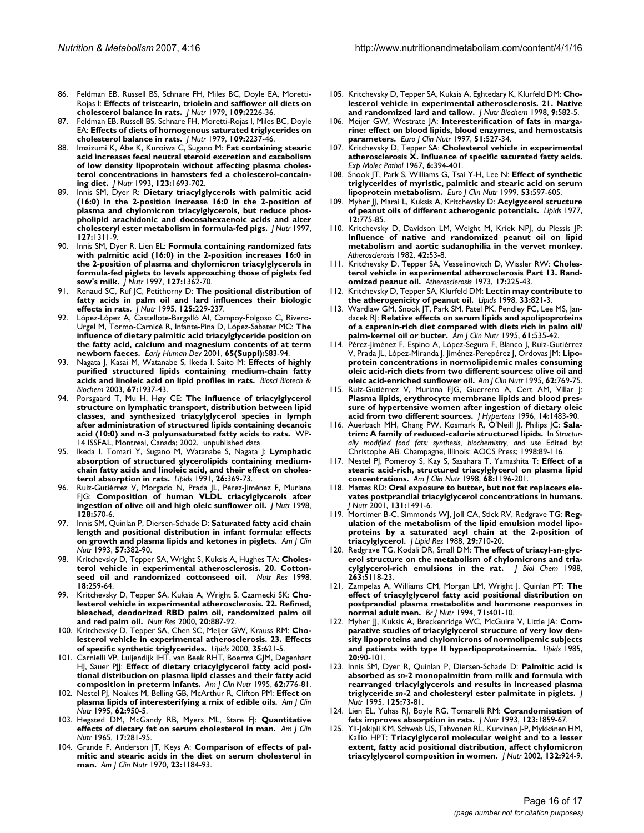- 86. Feldman EB, Russell BS, Schnare FH, Miles BC, Doyle EA, Moretti-Rojas I: **[Effects of tristearin, triolein and safflower oil diets on](http://www.ncbi.nlm.nih.gov/entrez/query.fcgi?cmd=Retrieve&db=PubMed&dopt=Abstract&list_uids=512710) [cholesterol balance in rats.](http://www.ncbi.nlm.nih.gov/entrez/query.fcgi?cmd=Retrieve&db=PubMed&dopt=Abstract&list_uids=512710)** *J Nutr* 1979, **109:**2226-36.
- 87. Feldman EB, Russell BS, Schnare FH, Moretti-Rojas I, Miles BC, Doyle EA: **[Effects of diets of homogenous saturated triglycerides on](http://www.ncbi.nlm.nih.gov/entrez/query.fcgi?cmd=Retrieve&db=PubMed&dopt=Abstract&list_uids=512711) [cholesterol balance in rats.](http://www.ncbi.nlm.nih.gov/entrez/query.fcgi?cmd=Retrieve&db=PubMed&dopt=Abstract&list_uids=512711)** *J Nutr* 1979, **109:**2237-46.
- 88. Imaizumi K, Abe K, Kuroiwa C, Sugano M: **[Fat containing stearic](http://www.ncbi.nlm.nih.gov/entrez/query.fcgi?cmd=Retrieve&db=PubMed&dopt=Abstract&list_uids=8410360) [acid increases fecal neutral steroid excretion and catabolism](http://www.ncbi.nlm.nih.gov/entrez/query.fcgi?cmd=Retrieve&db=PubMed&dopt=Abstract&list_uids=8410360) of low density lipoprotein without affecting plasma cholesterol concentrations in hamsters fed a cholesterol-contain[ing diet.](http://www.ncbi.nlm.nih.gov/entrez/query.fcgi?cmd=Retrieve&db=PubMed&dopt=Abstract&list_uids=8410360)** *J Nutr* 1993, **123:**1693-702.
- 89. Innis SM, Dyer R: **[Dietary triacylglycerols with palmitic acid](http://www.ncbi.nlm.nih.gov/entrez/query.fcgi?cmd=Retrieve&db=PubMed&dopt=Abstract&list_uids=9202085) [\(16:0\) in the 2-position increase 16:0 in the 2-position of](http://www.ncbi.nlm.nih.gov/entrez/query.fcgi?cmd=Retrieve&db=PubMed&dopt=Abstract&list_uids=9202085) plasma and chylomicron triacylglycerols, but reduce phospholipid arachidonic and docosahexaenoic acids and alter [cholesteryl ester metabolism in formula-fed pigs.](http://www.ncbi.nlm.nih.gov/entrez/query.fcgi?cmd=Retrieve&db=PubMed&dopt=Abstract&list_uids=9202085)** *J Nutr* 1997, **127:**1311-9.
- 90. Innis SM, Dyer R, Lien EL: **[Formula containing randomized fats](http://www.ncbi.nlm.nih.gov/entrez/query.fcgi?cmd=Retrieve&db=PubMed&dopt=Abstract&list_uids=9202092) [with palmitic acid \(16:0\) in the 2-position increases 16:0 in](http://www.ncbi.nlm.nih.gov/entrez/query.fcgi?cmd=Retrieve&db=PubMed&dopt=Abstract&list_uids=9202092) the 2-position of plasma and chylomicron triacylglycerols in formula-fed piglets to levels approaching those of piglets fed [sow's milk.](http://www.ncbi.nlm.nih.gov/entrez/query.fcgi?cmd=Retrieve&db=PubMed&dopt=Abstract&list_uids=9202092)** *J Nutr* 1997, **127:**1362-70.
- 91. Renaud SC, Ruf JC, Petithorny D: **[The positional distribution of](http://www.ncbi.nlm.nih.gov/entrez/query.fcgi?cmd=Retrieve&db=PubMed&dopt=Abstract&list_uids=7861250) [fatty acids in palm oil and lard influences their biologic](http://www.ncbi.nlm.nih.gov/entrez/query.fcgi?cmd=Retrieve&db=PubMed&dopt=Abstract&list_uids=7861250) [effects in rats.](http://www.ncbi.nlm.nih.gov/entrez/query.fcgi?cmd=Retrieve&db=PubMed&dopt=Abstract&list_uids=7861250)** *J Nutr* 1995, **125:**229-237.
- López-López A, Castellote-Bargalló AI, Campoy-Folgoso C, Rivero-Urgel M, Tormo-Carnicé R, Infante-Pina D, López-Sabater MC: **The influence of dietary palmitic acid triacylglyceride position on the fatty acid, calcium and magnesium contents of at term newborn faeces.** *Early Human Dev* 2001, **65(Suppl):**S83-94.
- 93. Nagata J, Kasai M, Watanabe S, Ikeda I, Saito M: **Effects of highly purified structured lipids containing medium-chain fatty acids and linoleic acid on lipid profiles in rats.** *Biosci Biotech & Biochem* 2003, **67:**1937-43.
- 94. Porsgaard T, Mu H, Høy CE: **The influence of triacylglycerol structure on lymphatic transport, distribution between lipid classes, and synthesized triacylglycerol species in lymph after administration of structured lipids containing decanoic acid (10:0) and n-3 polyunsaturated fatty acids to rats.** WP-14 ISSFAL, Montreal, Canada; 2002. unpublished data
- 95. Ikeda I, Tomari Y, Sugano M, Watanabe S, Nagata J: **[Lymphatic](http://www.ncbi.nlm.nih.gov/entrez/query.fcgi?cmd=Retrieve&db=PubMed&dopt=Abstract&list_uids=1895884) [absorption of structured glycerolipids containing medium](http://www.ncbi.nlm.nih.gov/entrez/query.fcgi?cmd=Retrieve&db=PubMed&dopt=Abstract&list_uids=1895884)chain fatty acids and linoleic acid, and their effect on choles[terol absorption in rats.](http://www.ncbi.nlm.nih.gov/entrez/query.fcgi?cmd=Retrieve&db=PubMed&dopt=Abstract&list_uids=1895884)** *Lipids* 1991, **26:**369-73.
- 96. Ruiz-Gutiérrez V, Morgado N, Prada JL, Pérez-Jiménez F, Muriana FJG: **[Composition of human VLDL triacylglycerols after](http://www.ncbi.nlm.nih.gov/entrez/query.fcgi?cmd=Retrieve&db=PubMed&dopt=Abstract&list_uids=9482765) [ingestion of olive oil and high oleic sunflower oil.](http://www.ncbi.nlm.nih.gov/entrez/query.fcgi?cmd=Retrieve&db=PubMed&dopt=Abstract&list_uids=9482765)** *J Nutr* 1998, **128:**570-6.
- 97. Innis SM, Quinlan P, Diersen-Schade D: **[Saturated fatty acid chain](http://www.ncbi.nlm.nih.gov/entrez/query.fcgi?cmd=Retrieve&db=PubMed&dopt=Abstract&list_uids=8438772) [length and positional distribution in infant formula: effects](http://www.ncbi.nlm.nih.gov/entrez/query.fcgi?cmd=Retrieve&db=PubMed&dopt=Abstract&list_uids=8438772) [on growth and plasma lipids and ketones in piglets.](http://www.ncbi.nlm.nih.gov/entrez/query.fcgi?cmd=Retrieve&db=PubMed&dopt=Abstract&list_uids=8438772)** *Am J Clin Nutr* 1993, **57:**382-90.
- 98. Kritchevsky D, Tepper SA, Wright S, Kuksis A, Hughes TA: **Cholesterol vehicle in experimental atherosclerosis. 20. Cottonseed oil and randomized cottonseed oil.** *Nutr Res* 1998, **18:**259-64.
- 99. Kritchevsky D, Tepper SA, Kuksis A, Wright S, Czarnecki SK: **Cholesterol vehicle in experimental atherosclerosis. 22. Refined, bleached, deodorized RBD palm oil, randomized palm oil and red palm oil.** *Nutr Res* 2000, **20:**887-92.
- 100. Kritchevsky D, Tepper SA, Chen SC, Meijer GW, Krauss RM: **[Cho](http://www.ncbi.nlm.nih.gov/entrez/query.fcgi?cmd=Retrieve&db=PubMed&dopt=Abstract&list_uids=10901423)[lesterol vehicle in experimental atherosclerosis. 23. Effects](http://www.ncbi.nlm.nih.gov/entrez/query.fcgi?cmd=Retrieve&db=PubMed&dopt=Abstract&list_uids=10901423) [of specific synthetic triglycerides.](http://www.ncbi.nlm.nih.gov/entrez/query.fcgi?cmd=Retrieve&db=PubMed&dopt=Abstract&list_uids=10901423)** *Lipids* 2000, **35:**621-5.
- 101. Carnielli VP, Luijendijk IHT, van Beek RHT, Boerma GJM, Degenhart HJ, Sauer PJJ: **[Effect of dietary triacylglycerol fatty acid posi](http://www.ncbi.nlm.nih.gov/entrez/query.fcgi?cmd=Retrieve&db=PubMed&dopt=Abstract&list_uids=7572708)[tional distribution on plasma lipid classes and their fatty acid](http://www.ncbi.nlm.nih.gov/entrez/query.fcgi?cmd=Retrieve&db=PubMed&dopt=Abstract&list_uids=7572708) [composition in preterm infants.](http://www.ncbi.nlm.nih.gov/entrez/query.fcgi?cmd=Retrieve&db=PubMed&dopt=Abstract&list_uids=7572708)** *Am J Clin Nutr* 1995, **62:**776-81.
- 102. Nestel PJ, Noakes M, Belling GB, McArthur R, Clifton PM: **[Effect on](http://www.ncbi.nlm.nih.gov/entrez/query.fcgi?cmd=Retrieve&db=PubMed&dopt=Abstract&list_uids=7572740) [plasma lipids of interesterifying a mix of edible oils.](http://www.ncbi.nlm.nih.gov/entrez/query.fcgi?cmd=Retrieve&db=PubMed&dopt=Abstract&list_uids=7572740)** *Am J Clin Nutr* 1995, **62:**950-5.
- 103. Hegsted DM, McGandy RB, Myers ML, Stare FJ: **[Quantitative](http://www.ncbi.nlm.nih.gov/entrez/query.fcgi?cmd=Retrieve&db=PubMed&dopt=Abstract&list_uids=5846902) [effects of dietary fat on serum cholesterol in man.](http://www.ncbi.nlm.nih.gov/entrez/query.fcgi?cmd=Retrieve&db=PubMed&dopt=Abstract&list_uids=5846902)** *Am J Clin Nutr* 1965, **17:**281-95.
- 104. Grande F, Anderson JT, Keys A: **[Comparison of effects of pal](http://www.ncbi.nlm.nih.gov/entrez/query.fcgi?cmd=Retrieve&db=PubMed&dopt=Abstract&list_uids=5450836)[mitic and stearic acids in the diet on serum cholesterol in](http://www.ncbi.nlm.nih.gov/entrez/query.fcgi?cmd=Retrieve&db=PubMed&dopt=Abstract&list_uids=5450836) [man.](http://www.ncbi.nlm.nih.gov/entrez/query.fcgi?cmd=Retrieve&db=PubMed&dopt=Abstract&list_uids=5450836)** *Am J Clin Nutr* 1970, **23:**1184-93.
- 105. Kritchevsky D, Tepper SA, Kuksis A, Eghtedary K, Klurfeld DM: **Cholesterol vehicle in experimental atherosclerosis. 21. Native and randomized lard and tallow.** *J Nutr Biochem* 1998, **9:**582-5.
- 106. Meijer GW, Westrate JA: **Interesterification of fats in margarine: effect on blood lipids, blood enzymes, and hemostatsis parameters.** *Euro J Clin Nutr* 1997, **51:**527-34.
- 107. Kritchevsky D, Tepper SA: **Cholesterol vehicle in experimental atherosclerosis X. Influence of specific saturated fatty acids.** *Exp Molec Pathol* 1967, **6:**394-401.
- 108. Snook JT, Park S, Williams G, Tsai Y-H, Lee N: **Effect of synthetic triglycerides of myristic, palmitic and stearic acid on serum lipoprotein metabolism.** *Euro J Clin Nutr* 1999, **53:**597-605.
- 109. Myher JJ, Marai L, Kuksis A, Kritchevsky D: **[Acylgycerol structure](http://www.ncbi.nlm.nih.gov/entrez/query.fcgi?cmd=Retrieve&db=PubMed&dopt=Abstract&list_uids=916819) [of peanut oils of different atherogenic potentials.](http://www.ncbi.nlm.nih.gov/entrez/query.fcgi?cmd=Retrieve&db=PubMed&dopt=Abstract&list_uids=916819)** *Lipids* 1977, **12:**775-85.
- 110. Kritchevsky D, Davidson LM, Weight M, Kriek NPJ, du Plessis JP: **[Influence of native and randomized peanut oil on lipid](http://www.ncbi.nlm.nih.gov/entrez/query.fcgi?cmd=Retrieve&db=PubMed&dopt=Abstract&list_uids=7082418) metabolism and aortic sudanophilia in the vervet monkey.** *Atherosclerosis* 1982, **42:**53-8.
- 111. Kritchevsky D, Tepper SA, Vesselinovitch D, Wissler RW: **[Choles](http://www.ncbi.nlm.nih.gov/entrez/query.fcgi?cmd=Retrieve&db=PubMed&dopt=Abstract&list_uids=4709122)[terol vehicle in experimental atherosclerosis Part 13. Rand](http://www.ncbi.nlm.nih.gov/entrez/query.fcgi?cmd=Retrieve&db=PubMed&dopt=Abstract&list_uids=4709122)[omized peanut oil.](http://www.ncbi.nlm.nih.gov/entrez/query.fcgi?cmd=Retrieve&db=PubMed&dopt=Abstract&list_uids=4709122)** *Atherosclerosis* 1973, **17:**225-43.
- 112. Kritchevsky D, Tepper SA, Klurfeld DM: **[Lectin may contribute to](http://www.ncbi.nlm.nih.gov/entrez/query.fcgi?cmd=Retrieve&db=PubMed&dopt=Abstract&list_uids=9727614) [the atherogenicity of peanut oil.](http://www.ncbi.nlm.nih.gov/entrez/query.fcgi?cmd=Retrieve&db=PubMed&dopt=Abstract&list_uids=9727614)** *Lipids* 1998, **33:**821-3.
- 113. Wardlaw GM, Snook JT, Park SM, Patel PK, Pendley FC, Lee MS, Jandacek RJ: **[Relative effects on serum lipids and apolipoproteins](http://www.ncbi.nlm.nih.gov/entrez/query.fcgi?cmd=Retrieve&db=PubMed&dopt=Abstract&list_uids=7872217) [of a caprenin-rich diet compared with diets rich in palm oil/](http://www.ncbi.nlm.nih.gov/entrez/query.fcgi?cmd=Retrieve&db=PubMed&dopt=Abstract&list_uids=7872217) [palm-kernel oil or butter.](http://www.ncbi.nlm.nih.gov/entrez/query.fcgi?cmd=Retrieve&db=PubMed&dopt=Abstract&list_uids=7872217)** *Am J Clin Nutr* 1995, **61:**535-42.
- 114. Pérez-Jiménez F, Espino A, López-Segura F, Blanco J, Ruiz-Gutiérrez V, Prada JL, López-Miranda J, Jiménez-Perepérez J, Ordovas JM: **[Lipo](http://www.ncbi.nlm.nih.gov/entrez/query.fcgi?cmd=Retrieve&db=PubMed&dopt=Abstract&list_uids=7572707)[protein concentrations in normolipidemic males consuming](http://www.ncbi.nlm.nih.gov/entrez/query.fcgi?cmd=Retrieve&db=PubMed&dopt=Abstract&list_uids=7572707) oleic acid-rich diets from two different sources: olive oil and [oleic acid-enriched sunflower oil.](http://www.ncbi.nlm.nih.gov/entrez/query.fcgi?cmd=Retrieve&db=PubMed&dopt=Abstract&list_uids=7572707)** *Am J Clin Nutr* 1995, **62:**769-75.
- 115. Ruiz-Gutiérrez V, Muriana FJG, Guerrero A, Cert AM, Villar J: **[Plasma lipids, erythrocyte membrane lipids and blood pres](http://www.ncbi.nlm.nih.gov/entrez/query.fcgi?cmd=Retrieve&db=PubMed&dopt=Abstract&list_uids=8986934)sure of hypertensive women after ingestion of dietary oleic [acid from two different sources.](http://www.ncbi.nlm.nih.gov/entrez/query.fcgi?cmd=Retrieve&db=PubMed&dopt=Abstract&list_uids=8986934)** *J Hypertens* 1996, **14:**1483-90.
- 116. Auerbach MH, Chang PW, Kosmark R, O'Neill JJ, Philips JC: **Salatrim: A family of reduced-calorie structured lipids.** In *Structurally modified food fats: synthesis, biochemistry, and use* Edited by: Christophe AB. Champagne, Illinois: AOCS Press; 1998:89-116.
- 117. Nestel PJ, Pomeroy S, Kay S, Sasahara T, Yamashita T: **[Effect of a](http://www.ncbi.nlm.nih.gov/entrez/query.fcgi?cmd=Retrieve&db=PubMed&dopt=Abstract&list_uids=9846846) [stearic acid-rich, structured triacylglycerol on plasma lipid](http://www.ncbi.nlm.nih.gov/entrez/query.fcgi?cmd=Retrieve&db=PubMed&dopt=Abstract&list_uids=9846846) [concentrations.](http://www.ncbi.nlm.nih.gov/entrez/query.fcgi?cmd=Retrieve&db=PubMed&dopt=Abstract&list_uids=9846846)** *Am J Clin Nutr* 1998, **68:**1196-201.
- 118. Mattes RD: **[Oral exposure to butter, but not fat replacers ele](http://www.ncbi.nlm.nih.gov/entrez/query.fcgi?cmd=Retrieve&db=PubMed&dopt=Abstract&list_uids=11340105)[vates postprandial triacylglycerol concentrations in humans.](http://www.ncbi.nlm.nih.gov/entrez/query.fcgi?cmd=Retrieve&db=PubMed&dopt=Abstract&list_uids=11340105)** *J Nutr* 2001, **131:**1491-6.
- 119. Mortimer B-C, Simmonds WJ, Joll CA, Stick RV, Redgrave TG: **Regulation of the metabolism of the lipid emulsion model lipoproteins by a saturated acyl chain at the 2-position of triacylglycerol.** *J Lipid Res* 1988, **29:**710-20.
- 120. Redgrave TG, Kodali DR, Small DM: **[The effect of triacyl-sn-glyc](http://www.ncbi.nlm.nih.gov/entrez/query.fcgi?cmd=Retrieve&db=PubMed&dopt=Abstract&list_uids=3356683)[erol structure on the metabolism of chylomicrons and tria](http://www.ncbi.nlm.nih.gov/entrez/query.fcgi?cmd=Retrieve&db=PubMed&dopt=Abstract&list_uids=3356683)[cylglycerol-rich emulsions in the rat.](http://www.ncbi.nlm.nih.gov/entrez/query.fcgi?cmd=Retrieve&db=PubMed&dopt=Abstract&list_uids=3356683)** *J Biol Chem* 1988, **263:**5118-23.
- 121. Zampelas A, Williams CM, Morgan LM, Wright J, Quinlan PT: **[The](http://www.ncbi.nlm.nih.gov/entrez/query.fcgi?cmd=Retrieve&db=PubMed&dopt=Abstract&list_uids=8172869) [effect of triacylglycerol fatty acid positional distribution on](http://www.ncbi.nlm.nih.gov/entrez/query.fcgi?cmd=Retrieve&db=PubMed&dopt=Abstract&list_uids=8172869) postprandial plasma metabolite and hormone responses in [normal adult men.](http://www.ncbi.nlm.nih.gov/entrez/query.fcgi?cmd=Retrieve&db=PubMed&dopt=Abstract&list_uids=8172869)** *Br J Nutr* 1994, **71:**401-10.
- 122. Myher JJ, Kuksis A, Breckenridge WC, McGuire V, Little JA: **[Com](http://www.ncbi.nlm.nih.gov/entrez/query.fcgi?cmd=Retrieve&db=PubMed&dopt=Abstract&list_uids=3982238)[parative studies of triacylglycerol structure of very low den](http://www.ncbi.nlm.nih.gov/entrez/query.fcgi?cmd=Retrieve&db=PubMed&dopt=Abstract&list_uids=3982238)sity lipoproteins and chylomicrons of normolipemic subjects [and patients with type II hyperlipoproteinemia.](http://www.ncbi.nlm.nih.gov/entrez/query.fcgi?cmd=Retrieve&db=PubMed&dopt=Abstract&list_uids=3982238)** *Lipids* 1985, **20:**90-101.
- <span id="page-15-0"></span>123. Innis SM, Dyer R, Quinlan P, Diersen-Schade D: **Palmitic acid is absorbed as** *sn***-2 monopalmitin from milk and formula with rearranged triacylglycerols and results in increased plasma triglyceride** *sn***[-2 and cholesteryl ester palmitate in piglets.](http://www.ncbi.nlm.nih.gov/entrez/query.fcgi?cmd=Retrieve&db=PubMed&dopt=Abstract&list_uids=7815179)** *J Nutr* 1995, **125:**73-81.
- 124. Lien EL, Yuhas RJ, Boyle RG, Tomarelli RM: **[Corandomisation of](http://www.ncbi.nlm.nih.gov/entrez/query.fcgi?cmd=Retrieve&db=PubMed&dopt=Abstract&list_uids=8229301) [fats improves absorption in rats.](http://www.ncbi.nlm.nih.gov/entrez/query.fcgi?cmd=Retrieve&db=PubMed&dopt=Abstract&list_uids=8229301)** *J Nutr* 1993, **123:**1859-67.
- 125. Yli-Jokipii KM, Schwab US, Tahvonen RL, Kurvinen J-P, Mykkänen HM, Kallio HPT: **[Triacylglycerol molecular weight and to a lesser](http://www.ncbi.nlm.nih.gov/entrez/query.fcgi?cmd=Retrieve&db=PubMed&dopt=Abstract&list_uids=11983815) [extent, fatty acid positional distribution, affect chylomicron](http://www.ncbi.nlm.nih.gov/entrez/query.fcgi?cmd=Retrieve&db=PubMed&dopt=Abstract&list_uids=11983815) [triacylglycerol composition in women.](http://www.ncbi.nlm.nih.gov/entrez/query.fcgi?cmd=Retrieve&db=PubMed&dopt=Abstract&list_uids=11983815)** *J Nutr* 2002, **132:**924-9.